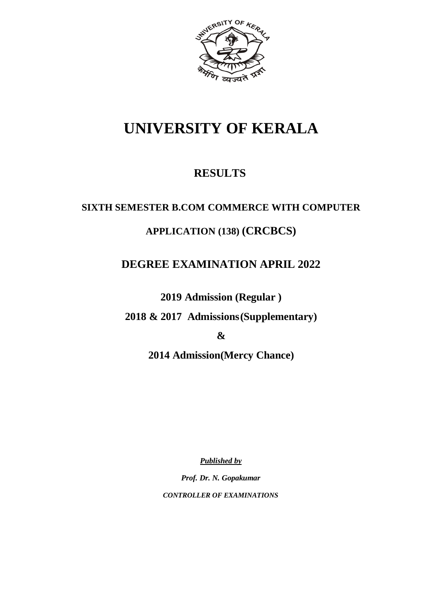

# **UNIVERSITY OF KERALA**

# **RESULTS**

# **SIXTH SEMESTER B.COM COMMERCE WITH COMPUTER**

# **APPLICATION (138) (CRCBCS)**

# **DEGREE EXAMINATION APRIL 2022**

**2019 Admission (Regular )** 

**2018 & 2017 Admissions(Supplementary)** 

**&**

**2014 Admission(Mercy Chance)**

*Published by*

*Prof. Dr. N. Gopakumar CONTROLLER OF EXAMINATIONS*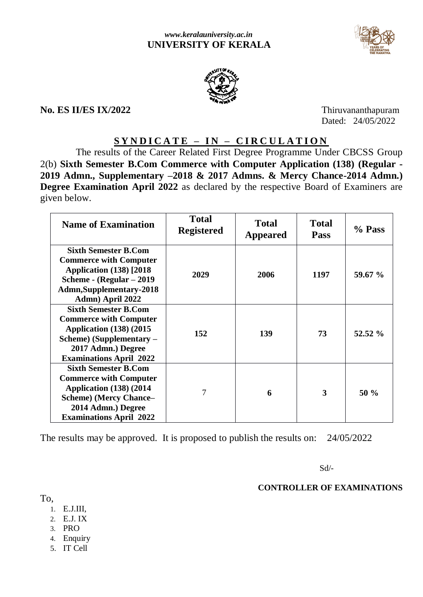



# **No. ES II/ES IX/2022** Thiruvananthapuram

Dated: 24/05/2022

# **S Y N D I C A T E – I N – C I R C U L A T I O N**

 The results of the Career Related First Degree Programme Under CBCSS Group 2(b) **Sixth Semester B.Com Commerce with Computer Application (138) (Regular - 2019 Admn., Supplementary –2018 & 2017 Admns. & Mercy Chance-2014 Admn.) Degree Examination April 2022** as declared by the respective Board of Examiners are given below.

| <b>Name of Examination</b>                                                                                                                                                              | <b>Total</b><br><b>Registered</b> | <b>Total</b><br><b>Appeared</b> | <b>Total</b><br><b>Pass</b> | % Pass  |
|-----------------------------------------------------------------------------------------------------------------------------------------------------------------------------------------|-----------------------------------|---------------------------------|-----------------------------|---------|
| <b>Sixth Semester B.Com</b><br><b>Commerce with Computer</b><br><b>Application (138)</b> [2018]<br>Scheme - (Regular - 2019<br><b>Admn,Supplementary-2018</b><br>Admn) April 2022       | 2029                              | 2006                            | 1197                        | 59.67 % |
| <b>Sixth Semester B.Com</b><br><b>Commerce with Computer</b><br><b>Application (138) (2015)</b><br>Scheme) (Supplementary –<br>2017 Admn.) Degree<br><b>Examinations April 2022</b>     | 152                               | 139                             | 73                          | 52.52 % |
| <b>Sixth Semester B.Com</b><br><b>Commerce with Computer</b><br><b>Application (138) (2014</b><br><b>Scheme)</b> (Mercy Chance-<br>2014 Admn.) Degree<br><b>Examinations April 2022</b> | 7                                 | 6                               | 3                           | 50%     |

The results may be approved. It is proposed to publish the results on: 24/05/2022

Sd/-

# **CONTROLLER OF EXAMINATIONS**

To,

- 1. E.J.III,
- 2. E.J. IX
- 3. PRO
- 4. Enquiry
- 5. IT Cell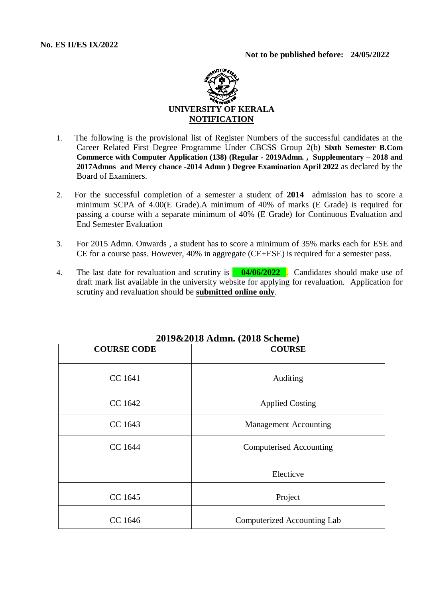

- 1. The following is the provisional list of Register Numbers of the successful candidates at the Career Related First Degree Programme Under CBCSS Group 2(b) **Sixth Semester B.Com Commerce with Computer Application (138) (Regular - 2019Admn. , Supplementary – 2018 and 2017Admns and Mercy chance -2014 Admn ) Degree Examination April 2022** as declared by the Board of Examiners.
- 2. For the successful completion of a semester a student of **2014** admission has to score a minimum SCPA of 4.00(E Grade).A minimum of 40% of marks (E Grade) is required for passing a course with a separate minimum of 40% (E Grade) for Continuous Evaluation and End Semester Evaluation
- 3. For 2015 Admn. Onwards , a student has to score a minimum of 35% marks each for ESE and CE for a course pass. However, 40% in aggregate (CE+ESE) is required for a semester pass.
- 4. The last date for revaluation and scrutiny is **04/06/2022** . Candidates should make use of draft mark list available in the university website for applying for revaluation. Application for scrutiny and revaluation should be **submitted online only**.

| <b>COURSE CODE</b> | <b>COURSE</b>                  |
|--------------------|--------------------------------|
| CC 1641            | Auditing                       |
| CC 1642            | <b>Applied Costing</b>         |
| CC 1643            | <b>Management Accounting</b>   |
| CC 1644            | <b>Computerised Accounting</b> |
|                    | Electicve                      |
| CC 1645            | Project                        |
| CC 1646            | Computerized Accounting Lab    |

# **2019&2018 Admn. (2018 Scheme)**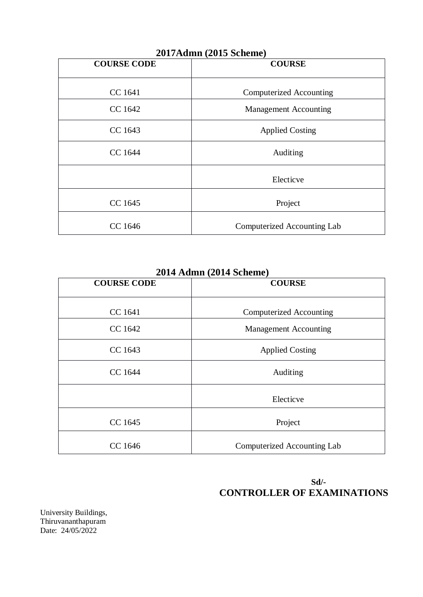| $\mu$ uli $\mu$ ( $\mu$ ulio duieline) |                              |  |  |
|----------------------------------------|------------------------------|--|--|
| <b>COURSE CODE</b>                     | <b>COURSE</b>                |  |  |
| CC 1641                                | Computerized Accounting      |  |  |
| CC 1642                                | <b>Management Accounting</b> |  |  |
| CC 1643                                | <b>Applied Costing</b>       |  |  |
| CC 1644                                | Auditing                     |  |  |
|                                        | Electicve                    |  |  |
| CC 1645                                | Project                      |  |  |
| CC 1646                                | Computerized Accounting Lab  |  |  |

**2017Admn (2015 Scheme)**

**2014 Admn (2014 Scheme)**

| <b>COURSE CODE</b> | <b>COURSE</b>                  |
|--------------------|--------------------------------|
|                    |                                |
| CC 1641            | <b>Computerized Accounting</b> |
| CC 1642            | <b>Management Accounting</b>   |
| CC 1643            | <b>Applied Costing</b>         |
| CC 1644            | Auditing                       |
|                    | Electicve                      |
| CC 1645            | Project                        |
| CC 1646            | Computerized Accounting Lab    |

# **Sd/- CONTROLLER OF EXAMINATIONS**

University Buildings, Thiruvananthapuram Date: 24/05/2022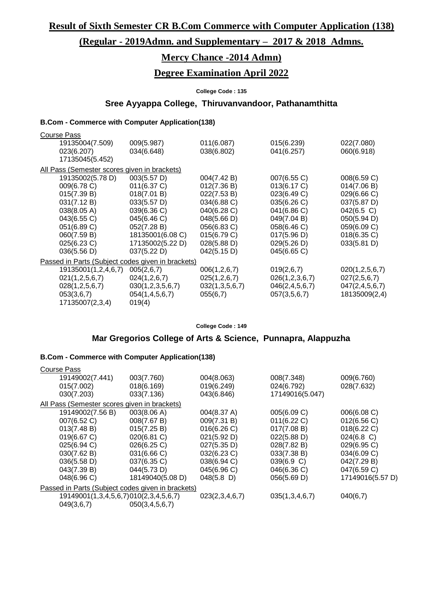**Result of Sixth Semester CR B.Com Commerce with Computer Application (138)**

# **(Regular - 2019Admn. and Supplementary – 2017 & 2018 Admns.**

# **Mercy Chance -2014 Admn)**

# **Degree Examination April 2022**

### **College Code : 135**

# **Sree Ayyappa College, Thiruvanvandoor, Pathanamthitta**

# **B.Com - Commerce with Computer Application(138)**

| <b>Course Pass</b>                                |                  |                 |                    |                    |
|---------------------------------------------------|------------------|-----------------|--------------------|--------------------|
| 19135004(7.509)                                   | 009(5.987)       | 011(6.087)      | 015(6.239)         | 022(7.080)         |
| 023(6.207)                                        | 034(6.648)       | 038(6.802)      | 041(6.257)         | 060(6.918)         |
| 17135045(5.452)                                   |                  |                 |                    |                    |
| All Pass (Semester scores given in brackets)      |                  |                 |                    |                    |
| 19135002(5.78 D)                                  | 003(5.57 D)      | 004(7.42 B)     | 007(6.55 C)        | 008(6.59 C)        |
| 009(6.78 C)                                       | 011(6.37 C)      | 012(7.36 B)     | 013(6.17 C)        | 014(7.06 B)        |
| 015(7.39 B)                                       | 018(7.01 B)      | 022(7.53 B)     | 023(6.49 C)        | 029(6.66 C)        |
| 031(7.12 B)                                       | 033(5.57 D)      | 034(6.88 C)     | 035(6.26 C)        | 037(5.87 D)        |
| 038(8.05 A)                                       | 039(6.36 C)      | 040(6.28 C)     | 041(6.86 C)        | $042(6.5)$ C)      |
| 043(6.55 C)                                       | 045(6.46 C)      | 048(5.66 D)     | 049(7.04 B)        | 050(5.94 D)        |
| 051(6.89 C)                                       | 052(7.28 B)      | 056(6.83 C)     | 058(6.46 C)        | 059(6.09 C)        |
| 060(7.59 B)                                       | 18135001(6.08 C) | 015(6.79 C)     | 017(5.96 D)        | $018(6.35)$ C)     |
| 025(6.23 C)                                       | 17135002(5.22 D) | 028(5.88 D)     | 029(5.26 D)        | 033(5.81 D)        |
| 036(5.56 D)                                       | 037(5.22 D)      | 042(5.15 D)     | 045(6.65 C)        |                    |
| Passed in Parts (Subject codes given in brackets) |                  |                 |                    |                    |
| 19135001(1,2,4,6,7)                               | 005(2,6,7)       | 006(1, 2, 6, 7) | 019(2,6,7)         | 020(1, 2, 5, 6, 7) |
| 021(1, 2, 5, 6, 7)                                | 024(1,2,6,7)     | 025(1,2,6,7)    | 026(1,2,3,6,7)     | 027(2,5,6,7)       |
| 028(1, 2, 5, 6, 7)                                | 030(1,2,3,5,6,7) | 032(1,3,5,6,7)  | 046(2, 4, 5, 6, 7) | 047(2, 4, 5, 6, 7) |
| 053(3,6,7)                                        | 054(1,4,5,6,7)   | 055(6,7)        | 057(3,5,6,7)       | 18135009(2,4)      |
| 17135007(2,3,4)                                   | 019(4)           |                 |                    |                    |
|                                                   |                  |                 |                    |                    |

**College Code : 149**

# **Mar Gregorios College of Arts & Science, Punnapra, Alappuzha**

| <b>Course Pass</b>                                |                  |                |                 |                  |
|---------------------------------------------------|------------------|----------------|-----------------|------------------|
| 19149002(7.441)                                   | 003(7.760)       | 004(8.063)     | 008(7.348)      | 009(6.760)       |
| 015(7.002)                                        | 018(6.169)       | 019(6.249)     | 024(6.792)      | 028(7.632)       |
| 030(7.203)                                        | 033(7.136)       | 043(6.846)     | 17149016(5.047) |                  |
| All Pass (Semester scores given in brackets)      |                  |                |                 |                  |
| 19149002(7.56 B)                                  | 003(8.06 A)      | 004(8.37 A)    | 005(6.09 C)     | 006(6.08 C)      |
| 007(6.52 C)                                       | 008(7.67 B)      | 009(7.31 B)    | 011(6.22 C)     | 012(6.56 C)      |
| 013(7.48 B)                                       | 015(7.25 B)      | 016(6.26)      | 017(7.08 B)     | 018(6.22 C)      |
| 019(6.67 C)                                       | 020(6.81 C)      | 021(5.92 D)    | 022(5.88 D)     | $024(6.8)$ C)    |
| 025(6.94 C)                                       | 026(6.25 C)      | 027(5.35 D)    | 028(7.82 B)     | 029(6.95 C)      |
| 030(7.62 B)                                       | 031(6.66 C)      | $032(6.23)$ C) | 033(7.38 B)     | 034(6.09 C)      |
| 036(5.58 D)                                       | 037(6.35 C)      | 038(6.94 C)    | 039(6.9 C)      | 042(7.29 B)      |
| 043(7.39 B)                                       | 044(5.73 D)      | 045(6.96 C)    | 046(6.36 C)     | 047(6.59 C)      |
| 048(6.96 C)                                       | 18149040(5.08 D) | $048(5.8)$ D)  | 056(5.69 D)     | 17149016(5.57 D) |
| Passed in Parts (Subject codes given in brackets) |                  |                |                 |                  |
| 19149001(1,3,4,5,6,7)010(2,3,4,5,6,7)             |                  | 023(2,3,4,6,7) | 035(1,3,4,6,7)  | 040(6,7)         |
| 049(3,6,7)                                        | 050(3,4,5,6,7)   |                |                 |                  |
|                                                   |                  |                |                 |                  |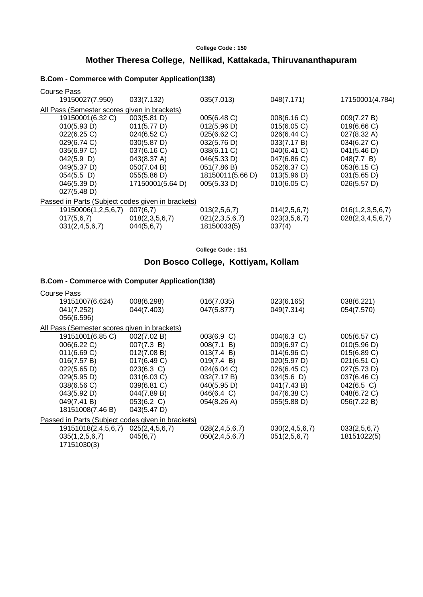# **Mother Theresa College, Nellikad, Kattakada, Thiruvananthapuram**

### **B.Com - Commerce with Computer Application(138)**

| <b>Course Pass</b>                                |                  |                  |              |                  |
|---------------------------------------------------|------------------|------------------|--------------|------------------|
| 19150027(7.950)                                   | 033(7.132)       | 035(7.013)       | 048(7.171)   | 17150001(4.784)  |
| All Pass (Semester scores given in brackets)      |                  |                  |              |                  |
| 19150001(6.32 C)                                  | 003(5.81 D)      | 005(6.48 C)      | 008(6.16 C)  | 009(7.27 B)      |
| 010(5.93 D)                                       | 011(5.77 D)      | 012(5.96 D)      | 015(6.05 C)  | 019(6.66 C)      |
| 022(6.25 C)                                       | 024(6.52 C)      | 025(6.62 C)      | 026(6.44 C)  | 027(8.32 A)      |
| 029(6.74 C)                                       | 030(5.87 D)      | 032(5.76 D)      | 033(7.17 B)  | 034(6.27 C)      |
| 035(6.97 C)                                       | 037(6.16 C)      | 038(6.11 C)      | 040(6.41 C)  | 041(5.46 D)      |
| $042(5.9)$ D)                                     | 043(8.37 A)      | 046(5.33 D)      | 047(6.86 C)  | 048(7.7 B)       |
| 049(5.37 D)                                       | 050(7.04 B)      | 051(7.86 B)      | 052(6.37 C)  | 053(6.15 C)      |
| $054(5.5)$ D)                                     | 055(5.86 D)      | 18150011(5.66 D) | 013(5.96 D)  | 031(5.65 D)      |
| 046(5.39 D)                                       | 17150001(5.64 D) | 005(5.33 D)      | 010(6.05 C)  | 026(5.57 D)      |
| 027(5.48 D)                                       |                  |                  |              |                  |
| Passed in Parts (Subject codes given in brackets) |                  |                  |              |                  |
| 19150006(1,2,5,6,7)                               | 007(6,7)         | 013(2,5,6,7)     | 014(2,5,6,7) | 016(1,2,3,5,6,7) |
| 017(5,6,7)                                        | 018(2,3,5,6,7)   | 021(2,3,5,6,7)   | 023(3,5,6,7) | 028(2,3,4,5,6,7) |
| 031(2, 4, 5, 6, 7)                                | 044(5,6,7)       | 18150033(5)      | 037(4)       |                  |
|                                                   |                  |                  |              |                  |

**College Code : 151**

# **Don Bosco College, Kottiyam, Kollam**

| <b>Course Pass</b>                                |                       |                    |                    |               |
|---------------------------------------------------|-----------------------|--------------------|--------------------|---------------|
| 19151007(6.624)                                   | 008(6.298)            | 016(7.035)         | 023(6.165)         | 038(6.221)    |
| 041(7.252)                                        | 044(7.403)            | 047(5.877)         | 049(7.314)         | 054(7.570)    |
| 056(6.596)                                        |                       |                    |                    |               |
| All Pass (Semester scores given in brackets)      |                       |                    |                    |               |
| 19151001(6.85 C)                                  | 002(7.02 B)           | 003(6.9 C)         | $004(6.3)$ C)      | 005(6.57 C)   |
| 006(6.22 C)                                       | 007(7.3 B)            | 008(7.1 B)         | 009(6.97 C)        | 010(5.96 D)   |
| 011(6.69 C)                                       | 012(7.08 B)           | 013(7.4 B)         | 014(6.96)          | 015(6.89 C)   |
| 016(7.57 B)                                       | 017(6.49 C)           | 019(7.4 B)         | 020(5.97 D)        | 021(6.51 C)   |
| 022(5.65 D)                                       | $023(6.3)$ C)         | 024(6.04 C)        | 026(6.45 C)        | 027(5.73 D)   |
| 029(5.95 D)                                       | 031(6.03 C)           | 032(7.17 B)        | 034(5.6)           | 037(6.46 C)   |
| 038(6.56 C)                                       | 039(6.81 C)           | 040(5.95 D)        | 041(7.43 B)        | $042(6.5)$ C) |
| 043(5.92 D)                                       | 044(7.89 B)           | 046(6.4 C)         | 047(6.38 C)        | 048(6.72 C)   |
| 049(7.41 B)                                       | 053(6.2 C)            | 054(8.26 A)        | 055(5.88 D)        | 056(7.22 B)   |
| 18151008(7.46 B)                                  | $043(5.47 \text{ D})$ |                    |                    |               |
| Passed in Parts (Subject codes given in brackets) |                       |                    |                    |               |
| 19151018(2,4,5,6,7)                               | 025(2, 4, 5, 6, 7)    | 028(2, 4, 5, 6, 7) | 030(2, 4, 5, 6, 7) | 033(2,5,6,7)  |
| 035(1,2,5,6,7)                                    | 045(6,7)              | 050(2, 4, 5, 6, 7) | 051(2,5,6,7)       | 18151022(5)   |
| 17151030(3)                                       |                       |                    |                    |               |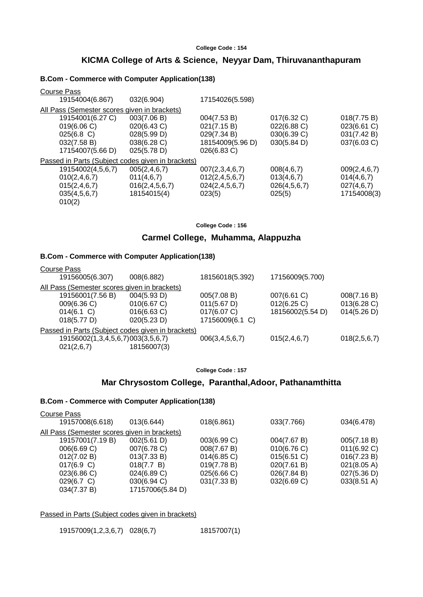# **KICMA College of Arts & Science, Neyyar Dam, Thiruvananthapuram**

### **B.Com - Commerce with Computer Application(138)**

| Course Pass                                       |                    |                    |              |                 |
|---------------------------------------------------|--------------------|--------------------|--------------|-----------------|
| 19154004(6.867)                                   | 032(6.904)         | 17154026(5.598)    |              |                 |
| All Pass (Semester scores given in brackets)      |                    |                    |              |                 |
| 19154001(6.27 C)                                  | 003(7.06 B)        | 004(7.53 B)        | 017(6.32 C)  | 018(7.75 B)     |
| 019(6.06 C)                                       | 020(6.43 C)        | 021(7.15 B)        | 022(6.88 C)  | 023(6.61 C)     |
| $025(6.8)$ C)                                     | 028(5.99 D)        | 029(7.34 B)        | 030(6.39 C)  | 031(7.42 B)     |
| 032(7.58 B)                                       | 038(6.28 C)        | 18154009(5.96 D)   | 030(5.84 D)  | 037(6.03 C)     |
| 17154007(5.66 D)                                  | 025(5.78 D)        | 026(6.83 C)        |              |                 |
| Passed in Parts (Subject codes given in brackets) |                    |                    |              |                 |
| 19154002(4,5,6,7)                                 | 005(2, 4, 6, 7)    | 007(2,3,4,6,7)     | 008(4,6,7)   | 009(2, 4, 6, 7) |
| 010(2, 4, 6, 7)                                   | 011(4,6,7)         | 012(2, 4, 5, 6, 7) | 013(4,6,7)   | 014(4,6,7)      |
| 015(2, 4, 6, 7)                                   | 016(2, 4, 5, 6, 7) | 024(2,4,5,6,7)     | 026(4,5,6,7) | 027(4,6,7)      |
| 035(4,5,6,7)                                      | 18154015(4)        | 023(5)             | 025(5)       | 17154008(3)     |
| 010(2)                                            |                    |                    |              |                 |

**College Code : 156**

### **Carmel College, Muhamma, Alappuzha**

### **B.Com - Commerce with Computer Application(138)**

| Course Pass                                       |                |                    |                  |              |
|---------------------------------------------------|----------------|--------------------|------------------|--------------|
| 19156005(6.307)                                   | 008(6.882)     | 18156018(5.392)    | 17156009(5.700)  |              |
| All Pass (Semester scores given in brackets)      |                |                    |                  |              |
| 19156001(7.56 B)                                  | 004(5.93 D)    | 005(7.08 B)        | 007(6.61 C)      | 008(7.16 B)  |
| 009(6.36 C)                                       | 010(6.67 C)    | 011(5.67 D)        | 012(6.25)        | 013(6.28)    |
| 014(6.1 C)                                        | $016(6.63)$ C) | 017(6.07 C)        | 18156002(5.54 D) | 014(5.26 D)  |
| 018(5.77 D)                                       | 020(5.23 D)    | 17156009(6.1 C)    |                  |              |
| Passed in Parts (Subject codes given in brackets) |                |                    |                  |              |
| 19156002(1,3,4,5,6,7)003(3,5,6,7)                 |                | 006(3, 4, 5, 6, 7) | 015(2, 4, 6, 7)  | 018(2,5,6,7) |
| 021(2,6,7)                                        | 18156007(3)    |                    |                  |              |

**College Code : 157**

### **Mar Chrysostom College, Paranthal,Adoor, Pathanamthitta**

# **B.Com - Commerce with Computer Application(138)**

| Course Pass                                  |                  |                |             |                       |
|----------------------------------------------|------------------|----------------|-------------|-----------------------|
| 19157008(6.618)                              | 013(6.644)       | 018(6.861)     | 033(7.766)  | 034(6.478)            |
| All Pass (Semester scores given in brackets) |                  |                |             |                       |
| 19157001(7.19 B)                             | 002(5.61 D)      | 003(6.99 C)    | 004(7.67 B) | 005(7.18 B)           |
| 006(6.69 C)                                  | 007(6.78 C)      | 008(7.67 B)    | 010(6.76)   | 011(6.92 C)           |
| 012(7.02 B)                                  | 013(7.33 B)      | $014(6.85)$ C) | 015(6.51 C) | 016(7.23 B)           |
| 017(6.9 C)                                   | 018(7.7 B)       | 019(7.78 B)    | 020(7.61 B) | 021(8.05 A)           |
| 023(6.86 C)                                  | 024(6.89 C)      | 025(6.66 C)    | 026(7.84 B) | 027(5.36 D)           |
| 029(6.7 C)                                   | 030(6.94 C)      | 031(7.33 B)    | 032(6.69 C) | $033(8.51 \text{ A})$ |
| 034(7.37 B)                                  | 17157006(5.84 D) |                |             |                       |
|                                              |                  |                |             |                       |

Passed in Parts (Subject codes given in brackets)

19157009(1,2,3,6,7) 028(6,7) 18157007(1)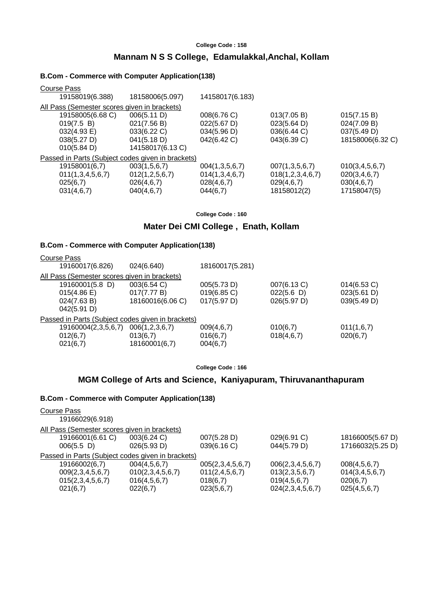# **Mannam N S S College, Edamulakkal,Anchal, Kollam**

### **B.Com - Commerce with Computer Application(138)**

| Course Pass                                  |                                                   |                       |                       |                    |
|----------------------------------------------|---------------------------------------------------|-----------------------|-----------------------|--------------------|
| 19158019(6.388)                              | 18158006(5.097)                                   | 14158017(6.183)       |                       |                    |
| All Pass (Semester scores given in brackets) |                                                   |                       |                       |                    |
| 19158005(6.68 C)                             | 006(5.11 D)                                       | 008(6.76 C)           | 013(7.05 B)           | 015(7.15 B)        |
| 019(7.5 B)                                   | 021(7.56 B)                                       | $022(5.67 \text{ D})$ | $023(5.64 \text{ D})$ | 024(7.09 B)        |
| $032(4.93 \text{ E})$                        | 033(6.22 C)                                       | 034(5.96 D)           | 036(6.44 C)           | 037(5.49 D)        |
| 038(5.27 D)                                  | 041(5.18 D)                                       | 042(6.42 C)           | 043(6.39 C)           | 18158006(6.32 C)   |
| 010(5.84 D)                                  | 14158017(6.13 C)                                  |                       |                       |                    |
|                                              | Passed in Parts (Subject codes given in brackets) |                       |                       |                    |
| 19158001(6,7)                                | 003(1,5,6,7)                                      | 004(1,3,5,6,7)        | 007(1,3,5,6,7)        | 010(3, 4, 5, 6, 7) |
| 011(1,3,4,5,6,7)                             | 012(1, 2, 5, 6, 7)                                | 014(1,3,4,6,7)        | 018(1,2,3,4,6,7)      | 020(3, 4, 6, 7)    |
| 025(6,7)                                     | 026(4,6,7)                                        | 028(4,6,7)            | 029(4,6,7)            | 030(4,6,7)         |
| 031(4,6,7)                                   | 040(4,6,7)                                        | 044(6,7)              | 18158012(2)           | 17158047(5)        |
|                                              |                                                   |                       |                       |                    |

**College Code : 160**

# **Mater Dei CMI College , Enath, Kollam**

### **B.Com - Commerce with Computer Application(138)**

| 19160017(6.826)<br>18160017(5.281)<br>024(6.640)<br>All Pass (Semester scores given in brackets)<br>19160001(5.8 D)<br>003(6.54 C)<br>007(6.13 C)<br>$014(6.53)$ C)<br>005(5.73 D)<br>022(5.6)<br>017(7.77 B)<br>023(5.61 D)<br>019(6.85)<br>015(4.86) |  |
|--------------------------------------------------------------------------------------------------------------------------------------------------------------------------------------------------------------------------------------------------------|--|
|                                                                                                                                                                                                                                                        |  |
|                                                                                                                                                                                                                                                        |  |
|                                                                                                                                                                                                                                                        |  |
|                                                                                                                                                                                                                                                        |  |
| 18160016(6.06 C)<br>017(5.97 D)<br>026(5.97 D)<br>039(5.49 D)<br>024(7.63 B)                                                                                                                                                                           |  |
| 042(5.91 D)                                                                                                                                                                                                                                            |  |
| Passed in Parts (Subject codes given in brackets)                                                                                                                                                                                                      |  |
| 19160004(2,3,5,6,7)<br>010(6,7)<br>011(1,6,7)<br>006(1,2,3,6,7)<br>009(4,6,7)                                                                                                                                                                          |  |
| 016(6,7)<br>018(4,6,7)<br>020(6,7)<br>012(6,7)<br>013(6,7)                                                                                                                                                                                             |  |
| 18160001(6,7)<br>021(6,7)<br>004(6,7)                                                                                                                                                                                                                  |  |

**College Code : 166**

# **MGM College of Arts and Science, Kaniyapuram, Thiruvananthapuram**

| Course Pass                                       |                  |                    |                  |                    |
|---------------------------------------------------|------------------|--------------------|------------------|--------------------|
| 19166029(6.918)                                   |                  |                    |                  |                    |
| All Pass (Semester scores given in brackets)      |                  |                    |                  |                    |
| 19166001(6.61 C)                                  | 003(6.24 C)      | 007(5.28 D)        | 029(6.91 C)      | 18166005(5.67 D)   |
| $006(5.5)$ D)                                     | 026(5.93 D)      | 039(6.16 C)        | 044(5.79 D)      | 17166032(5.25 D)   |
| Passed in Parts (Subject codes given in brackets) |                  |                    |                  |                    |
| 19166002(6,7)                                     | 004(4,5,6,7)     | 005(2,3,4,5,6,7)   | 006(2,3,4,5,6,7) | 008(4,5,6,7)       |
| 009(2,3,4,5,6,7)                                  | 010(2,3,4,5,6,7) | 011(2, 4, 5, 6, 7) | 013(2,3,5,6,7)   | 014(3, 4, 5, 6, 7) |
| 015(2,3,4,5,6,7)                                  | 016(4,5,6,7)     | 018(6,7)           | 019(4,5,6,7)     | 020(6,7)           |
| 021(6,7)                                          | 022(6,7)         | 023(5,6,7)         | 024(2,3,4,5,6,7) | 025(4,5,6,7)       |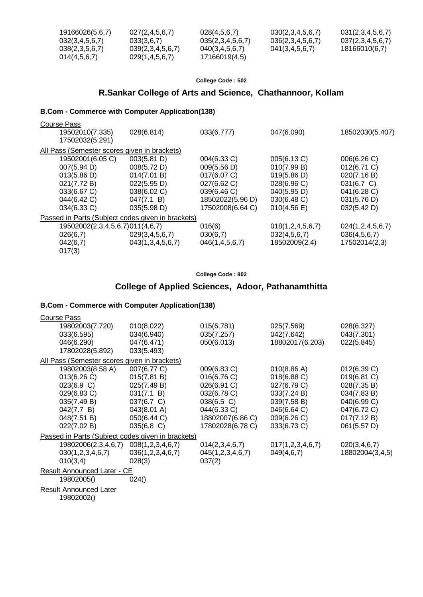| 19166026(5,6,7) | 027(2, 4, 5, 6, 7) | 028(4,5,6,7)       | 030(2,3,4,5,6,7) | 031(2,3,4,5,6,7) |
|-----------------|--------------------|--------------------|------------------|------------------|
| 032(3,4,5,6,7)  | 033(3.6.7)         | 035(2,3,4,5,6,7)   | 036(2,3,4,5,6,7) | 037(2,3,4,5,6,7) |
| 038(2,3,5,6,7)  | 039(2,3,4,5,6,7)   | 040(3, 4, 5, 6, 7) | 041(3,4,5,6,7)   | 18166010(6.7)    |
| 014(4.5.6.7)    | 029(1,4,5,6,7)     | 17166019(4,5)      |                  |                  |

# **R.Sankar College of Arts and Science, Chathannoor, Kollam**

### **B.Com - Commerce with Computer Application(138)**

| Course Pass<br>19502010(7.335)<br>17502032(5.291) | 028(6.814)                                        | 033(6.777)         | 047(6.090)       | 18502030(5.407)  |
|---------------------------------------------------|---------------------------------------------------|--------------------|------------------|------------------|
| All Pass (Semester scores given in brackets)      |                                                   |                    |                  |                  |
| 19502001(6.05 C)                                  | 003(5.81 D)                                       | 004(6.33 C)        | 005(6.13 C)      | 006(6.26 C)      |
| 007(5.94 D)                                       | 008(5.72 D)                                       | 009(5.56 D)        | 010(7.99 B)      | 012(6.71 C)      |
| 013(5.86 D)                                       | 014(7.01 B)                                       | 017(6.07 C)        | 019(5.86 D)      | 020(7.16 B)      |
| 021(7.72 B)                                       | 022(5.95 D)                                       | 027(6.62 C)        | 028(6.96 C)      | $031(6.7)$ C)    |
| 033(6.67 C)                                       | 038(6.02 C)                                       | 039(6.46 C)        | 040(5.95 D)      | 041(6.28 C)      |
| 044(6.42 C)                                       | 047(7.1 B)                                        | 18502022(5.96 D)   | 030(6.48 C)      | 031(5.76 D)      |
| 034(6.33 C)                                       | 035(5.98 D)                                       | 17502008(6.64 C)   | 010(4.56 E)      | 032(5.42 D)      |
|                                                   | Passed in Parts (Subject codes given in brackets) |                    |                  |                  |
| 19502002(2,3,4,5,6,7)011(4,6,7)                   |                                                   | 016(6)             | 018(1,2,4,5,6,7) | 024(1,2,4,5,6,7) |
| 026(6,7)                                          | 029(3,4,5,6,7)                                    | 030(6,7)           | 032(4,5,6,7)     | 036(4,5,6,7)     |
| 042(6,7)                                          | 043(1,3,4,5,6,7)                                  | 046(1, 4, 5, 6, 7) | 18502009(2,4)    | 17502014(2,3)    |
| 017(3)                                            |                                                   |                    |                  |                  |

**College Code : 802**

# **College of Applied Sciences, Adoor, Pathanamthitta**

### **B.Com - Commerce with Computer Application(138)**

| <b>Course Pass</b>                                |                  |                  |                  |                 |
|---------------------------------------------------|------------------|------------------|------------------|-----------------|
| 19802003(7.720)                                   | 010(8.022)       | 015(6.781)       | 025(7.569)       | 028(6.327)      |
| 033(6.595)                                        | 034(6.940)       | 035(7.257)       | 042(7.642)       | 043(7.301)      |
| 046(6.290)                                        | 047(6.471)       | 050(6.013)       | 18802017(6.203)  | 022(5.845)      |
| 17802028(5.892)                                   | 033(5.493)       |                  |                  |                 |
| All Pass (Semester scores given in brackets)      |                  |                  |                  |                 |
| 19802003(8.58 A)                                  | 007(6.77 C)      | 009(6.83 C)      | 010(8.86 A)      | 012(6.39 C)     |
| 013(6.26 C)                                       | 015(7.81 B)      | 016(6.76 C)      | 018(6.88 C)      | 019(6.81 C)     |
| 023(6.9 C)                                        | 025(7.49 B)      | 026(6.91 C)      | 027(6.79 C)      | 028(7.35 B)     |
| 029(6.83 C)                                       | 031(7.1 B)       | 032(6.78 C)      | 033(7.24 B)      | 034(7.83 B)     |
| 035(7.49 B)                                       | 037(6.7 C)       | $038(6.5)$ C)    | 039(7.58 B)      | 040(6.99 C)     |
| 042(7.7 B)                                        | 043(8.01 A)      | 044(6.33 C)      | 046(6.64 C)      | 047(6.72 C)     |
| 048(7.51 B)                                       | 050(6.44 C)      | 18802007(6.86 C) | 009(6.26 C)      | 017(7.12 B)     |
| 022(7.02 B)                                       | $035(6.8)$ C)    | 17802028(6.78 C) | 033(6.73 C)      | 061(5.57 D)     |
| Passed in Parts (Subject codes given in brackets) |                  |                  |                  |                 |
| 19802006(2,3,4,6,7)                               | 008(1,2,3,4,6,7) | 014(2,3,4,6,7)   | 017(1,2,3,4,6,7) | 020(3,4,6,7)    |
| 030(1,2,3,4,6,7)                                  | 036(1,2,3,4,6,7) | 045(1,2,3,4,6,7) | 049(4,6,7)       | 18802004(3,4,5) |
| 010(3,4)                                          | 028(3)           | 037(2)           |                  |                 |
| <b>Result Announced Later - CE</b>                |                  |                  |                  |                 |
| 19802005()                                        | 024()            |                  |                  |                 |
| <b>Result Announced Later</b>                     |                  |                  |                  |                 |
| 10000000                                          |                  |                  |                  |                 |

19802002()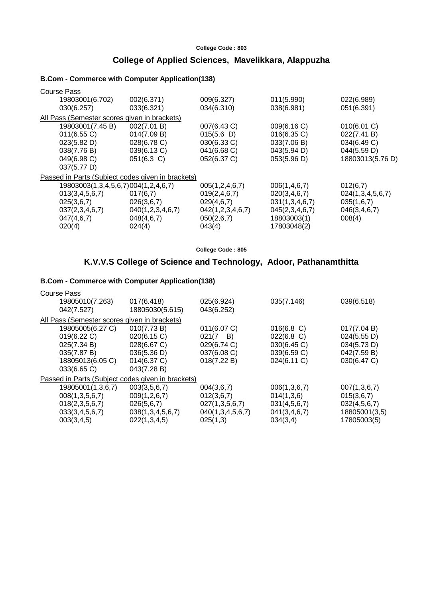# **College of Applied Sciences, Mavelikkara, Alappuzha**

### **B.Com - Commerce with Computer Application(138)**

| Course Pass                                  |                                                   |                  |                 |                  |
|----------------------------------------------|---------------------------------------------------|------------------|-----------------|------------------|
| 19803001(6.702)                              | 002(6.371)                                        | 009(6.327)       | 011(5.990)      | 022(6.989)       |
| 030(6.257)                                   | 033(6.321)                                        | 034(6.310)       | 038(6.981)      | 051(6.391)       |
| All Pass (Semester scores given in brackets) |                                                   |                  |                 |                  |
| 19803001(7.45 B)                             | 002(7.01 B)                                       | 007(6.43 C)      | 009(6.16 C)     | 010(6.01 C)      |
| 011(6.55 C)                                  | 014(7.09 B)                                       | 015(5.6)         | 016(6.35 C)     | 022(7.41 B)      |
| 023(5.82 D)                                  | 028(6.78 C)                                       | 030(6.33 C)      | 033(7.06 B)     | 034(6.49 C)      |
| 038(7.76 B)                                  | 039(6.13 C)                                       | 041(6.68 C)      | 043(5.94 D)     | 044(5.59 D)      |
| 049(6.98 C)                                  | $051(6.3)$ C)                                     | 052(6.37 C)      | 053(5.96 D)     | 18803013(5.76 D) |
| 037(5.77 D)                                  |                                                   |                  |                 |                  |
|                                              | Passed in Parts (Subject codes given in brackets) |                  |                 |                  |
| 19803003(1,3,4,5,6,7)004(1,2,4,6,7)          |                                                   | 005(1,2,4,6,7)   | 006(1, 4, 6, 7) | 012(6,7)         |
| 013(3, 4, 5, 6, 7)                           | 017(6,7)                                          | 019(2, 4, 6, 7)  | 020(3, 4, 6, 7) | 024(1,3,4,5,6,7) |
| 025(3,6,7)                                   | 026(3,6,7)                                        | 029(4,6,7)       | 031(1,3,4,6,7)  | 035(1,6,7)       |
| 037(2,3,4,6,7)                               | 040(1,2,3,4,6,7)                                  | 042(1,2,3,4,6,7) | 045(2,3,4,6,7)  | 046(3, 4, 6, 7)  |
| 047(4,6,7)                                   | 048(4,6,7)                                        | 050(2,6,7)       | 18803003(1)     | 008(4)           |
| 020(4)                                       | 024(4)                                            | 043(4)           | 17803048(2)     |                  |
|                                              |                                                   |                  |                 |                  |

**College Code : 805**

# **K.V.V.S College of Science and Technology, Adoor, Pathanamthitta**

| Course Pass                                       |                  |                  |                 |               |
|---------------------------------------------------|------------------|------------------|-----------------|---------------|
| 19805010(7.263)                                   | 017(6.418)       | 025(6.924)       | 035(7.146)      | 039(6.518)    |
| 042(7.527)                                        | 18805030(5.615)  | 043(6.252)       |                 |               |
| All Pass (Semester scores given in brackets)      |                  |                  |                 |               |
| 19805005(6.27 C)                                  | 010(7.73 B)      | 011(6.07 C)      | $016(6.8)$ C)   | 017(7.04 B)   |
| 019(6.22 C)                                       | 020(6.15 C)      | $021(7 \quad B)$ | 022(6.8 C)      | 024(5.55 D)   |
| 025(7.34 B)                                       | 028(6.67 C)      | 029(6.74 C)      | 030(6.45 C)     | 034(5.73 D)   |
| 035(7.87 B)                                       | 036(5.36 D)      | 037(6.08 C)      | 039(6.59 C)     | 042(7.59 B)   |
| 18805013(6.05 C)                                  | 014(6.37 C)      | 018(7.22 B)      | 024(6.11 C)     | 030(6.47 C)   |
| 033(6.65 C)                                       | 043(7.28 B)      |                  |                 |               |
| Passed in Parts (Subject codes given in brackets) |                  |                  |                 |               |
| 19805001(1,3,6,7)                                 | 003(3,5,6,7)     | 004(3,6,7)       | 006(1,3,6,7)    | 007(1,3,6,7)  |
| 008(1,3,5,6,7)                                    | 009(1, 2, 6, 7)  | 012(3,6,7)       | 014(1,3,6)      | 015(3,6,7)    |
| 018(2,3,5,6,7)                                    | 026(5,6,7)       | 027(1,3,5,6,7)   | 031(4,5,6,7)    | 032(4,5,6,7)  |
| 033(3,4,5,6,7)                                    | 038(1,3,4,5,6,7) | 040(1,3,4,5,6,7) | 041(3, 4, 6, 7) | 18805001(3,5) |
| 003(3,4,5)                                        | 022(1,3,4,5)     | 025(1,3)         | 034(3,4)        | 17805003(5)   |
|                                                   |                  |                  |                 |               |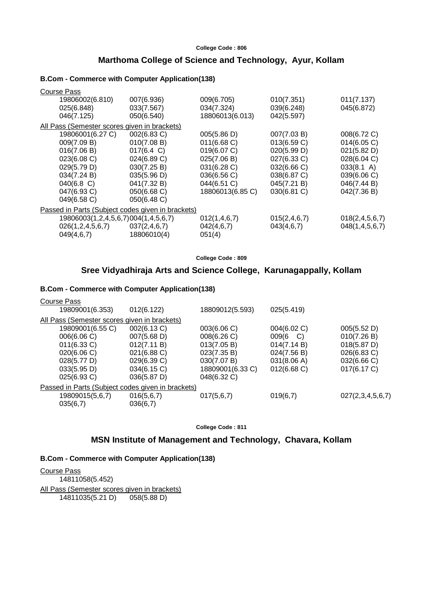### **Marthoma College of Science and Technology, Ayur, Kollam**

### **B.Com - Commerce with Computer Application(138)**

| <b>Course Pass</b>                                |                      |                  |                 |                      |
|---------------------------------------------------|----------------------|------------------|-----------------|----------------------|
| 19806002(6.810)                                   | 007(6.936)           | 009(6.705)       | 010(7.351)      | 011(7.137)           |
| 025(6.848)                                        | 033(7.567)           | 034(7.324)       | 039(6.248)      | 045(6.872)           |
| 046(7.125)                                        | 050(6.540)           | 18806013(6.013)  | 042(5.597)      |                      |
| All Pass (Semester scores given in brackets)      |                      |                  |                 |                      |
| 19806001(6.27 C)                                  | 002(6.83 C)          | 005(5.86 D)      | 007(7.03 B)     | 008(6.72 C)          |
| 009(7.09 B)                                       | 010(7.08 B)          | 011(6.68)        | 013(6.59 C)     | 014(6.05 C)          |
| 016(7.06 B)                                       | $017(6.4 \text{ C})$ | 019(6.07 C)      | 020(5.99 D)     | 021(5.82 D)          |
| 023(6.08 C)                                       | 024(6.89 C)          | 025(7.06 B)      | 027(6.33 C)     | 028(6.04 C)          |
| 029(5.79 D)                                       | 030(7.25 B)          | 031(6.28 C)      | 032(6.66 C)     | $033(8.1 \text{ A})$ |
| 034(7.24 B)                                       | 035(5.96 D)          | 036(6.56 C)      | 038(6.87 C)     | 039(6.06 C)          |
| $040(6.8)$ C)                                     | 041(7.32 B)          | 044(6.51 C)      | 045(7.21 B)     | 046(7.44 B)          |
| 047(6.93 C)                                       | 050(6.68 C)          | 18806013(6.85 C) | 030(6.81 C)     | 042(7.36 B)          |
| 049(6.58 C)                                       | 050(6.48)            |                  |                 |                      |
| Passed in Parts (Subject codes given in brackets) |                      |                  |                 |                      |
| 19806003(1,2,4,5,6,7)004(1,4,5,6,7)               |                      | 012(1,4,6,7)     | 015(2, 4, 6, 7) | 018(2, 4, 5, 6, 7)   |
| 026(1, 2, 4, 5, 6, 7)                             | 037(2, 4, 6, 7)      | 042(4,6,7)       | 043(4,6,7)      | 048(1, 4, 5, 6, 7)   |
| 049(4,6,7)                                        | 18806010(4)          | 051(4)           |                 |                      |

**College Code : 809**

## **Sree Vidyadhiraja Arts and Science College, Karunagappally, Kollam**

### **B.Com - Commerce with Computer Application(138)**

| Course Pass                                       |             |                  |                       |                  |
|---------------------------------------------------|-------------|------------------|-----------------------|------------------|
| 19809001(6.353)                                   | 012(6.122)  | 18809012(5.593)  | 025(5.419)            |                  |
| All Pass (Semester scores given in brackets)      |             |                  |                       |                  |
| 19809001(6.55 C)                                  | 002(6.13 C) | 003(6.06 C)      | 004(6.02 C)           | 005(5.52 D)      |
| 006(6.06 C)                                       | 007(5.68 D) | 008(6.26 C)      | 009(6<br>- C)         | 010(7.26 B)      |
| 011(6.33 C)                                       | 012(7.11 B) | 013(7.05 B)      | 014(7.14 B)           | 018(5.87 D)      |
| 020(6.06 C)                                       | 021(6.88 C) | 023(7.35 B)      | 024(7.56 B)           | $026(6.83)$ C)   |
| 028(5.77 D)                                       | 029(6.39 C) | 030(7.07 B)      | 031(8.06 A)           | 032(6.66 C)      |
| 033(5.95 D)                                       | 034(6.15)   | 18809001(6.33 C) | $012(6.68 \text{ C})$ | 017(6.17 C)      |
| 025(6.93 C)                                       | 036(5.87 D) | 048(6.32 C)      |                       |                  |
| Passed in Parts (Subject codes given in brackets) |             |                  |                       |                  |
| 19809015(5,6,7)                                   | 016(5,6,7)  | 017(5,6,7)       | 019(6,7)              | 027(2,3,4,5,6,7) |
| 035(6,7)                                          | 036(6,7)    |                  |                       |                  |
|                                                   |             |                  |                       |                  |

**College Code : 811**

# **MSN Institute of Management and Technology, Chavara, Kollam**

**B.Com - Commerce with Computer Application(138)**

Course Pass 14811058(5.452) All Pass (Semester scores given in brackets) 14811035(5.21 D) 058(5.88 D)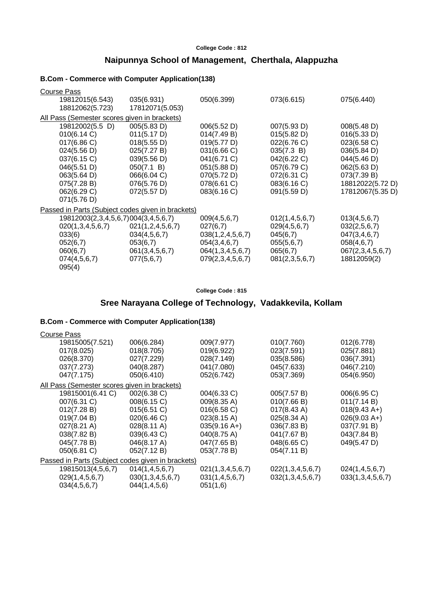# **Naipunnya School of Management, Cherthala, Alappuzha**

### **B.Com - Commerce with Computer Application(138)**

| <b>Course Pass</b>                                |                  |                  |                |                  |  |  |  |
|---------------------------------------------------|------------------|------------------|----------------|------------------|--|--|--|
| 19812015(6.543)                                   | 035(6.931)       | 050(6.399)       | 073(6.615)     | 075(6.440)       |  |  |  |
| 18812062(5.723)                                   | 17812071(5.053)  |                  |                |                  |  |  |  |
| All Pass (Semester scores given in brackets)      |                  |                  |                |                  |  |  |  |
| 19812002(5.5 D)                                   | 005(5.83 D)      | 006(5.52 D)      | 007(5.93 D)    | 008(5.48 D)      |  |  |  |
| 010(6.14 C)                                       | 011(5.17 D)      | 014(7.49 B)      | 015(5.82 D)    | 016(5.33 D)      |  |  |  |
| 017(6.86 C)                                       | 018(5.55 D)      | 019(5.77 D)      | 022(6.76 C)    | 023(6.58 C)      |  |  |  |
| 024(5.56 D)                                       | 025(7.27 B)      | 031(6.66 C)      | 035(7.3 B)     | 036(5.84 D)      |  |  |  |
| 037(6.15 C)                                       | 039(5.56 D)      | 041(6.71 C)      | 042(6.22 C)    | 044(5.46 D)      |  |  |  |
| 046(5.51 D)                                       | 050(7.1 B)       | 051(5.88 D)      | 057(6.79 C)    | 062(5.63 D)      |  |  |  |
| 063(5.64 D)                                       | 066(6.04 C)      | 070(5.72 D)      | 072(6.31 C)    | 073(7.39 B)      |  |  |  |
| 075(7.28 B)                                       | 076(5.76 D)      | 078(6.61 C)      | 083(6.16 C)    | 18812022(5.72 D) |  |  |  |
| 062(6.29 C)                                       | 072(5.57 D)      | 083(6.16 C)      | 091(5.59 D)    | 17812067(5.35 D) |  |  |  |
| 071(5.76 D)                                       |                  |                  |                |                  |  |  |  |
| Passed in Parts (Subject codes given in brackets) |                  |                  |                |                  |  |  |  |
| 19812003(2,3,4,5,6,7)004(3,4,5,6,7)               |                  | 009(4,5,6,7)     | 012(1,4,5,6,7) | 013(4,5,6,7)     |  |  |  |
| 020(1,3,4,5,6,7)                                  | 021(1,2,4,5,6,7) | 027(6,7)         | 029(4,5,6,7)   | 032(2,5,6,7)     |  |  |  |
| 033(6)                                            | 034(4,5,6,7)     | 038(1,2,4,5,6,7) | 045(6,7)       | 047(3, 4, 6, 7)  |  |  |  |
| 052(6,7)                                          | 053(6,7)         | 054(3,4,6,7)     | 055(5,6,7)     | 058(4,6,7)       |  |  |  |
| 060(6,7)                                          | 061(3,4,5,6,7)   | 064(1,3,4,5,6,7) | 065(6,7)       | 067(2,3,4,5,6,7) |  |  |  |
| 074(4,5,6,7)                                      | 077(5,6,7)       | 079(2,3,4,5,6,7) | 081(2,3,5,6,7) | 18812059(2)      |  |  |  |
| 095(4)                                            |                  |                  |                |                  |  |  |  |

**College Code : 815**

# **Sree Narayana College of Technology, Vadakkevila, Kollam**

| Course Pass                                       |                       |                  |                       |                        |
|---------------------------------------------------|-----------------------|------------------|-----------------------|------------------------|
| 19815005(7.521)                                   | 006(6.284)            | 009(7.977)       | 010(7.760)            | 012(6.778)             |
| 017(8.025)                                        | 018(8.705)            | 019(6.922)       | 023(7.591)            | 025(7.881)             |
| 026(8.370)                                        | 027(7.229)            | 028(7.149)       | 035(8.586)            | 036(7.391)             |
| 037(7.273)                                        | 040(8.287)            | 041(7.080)       | 045(7.633)            | 046(7.210)             |
| 047(7.175)                                        | 050(6.410)            | 052(6.742)       | 053(7.369)            | 054(6.950)             |
| All Pass (Semester scores given in brackets)      |                       |                  |                       |                        |
| 19815001(6.41 C)                                  | 002(6.38 C)           | 004(6.33 C)      | 005(7.57 B)           | 006(6.95 C)            |
| 007(6.31 C)                                       | 008(6.15 C)           | 009(8.35 A)      | 010(7.66 B)           | 011(7.14 B)            |
| 012(7.28 B)                                       | 015(6.51 C)           | 016(6.58)        | $017(8.43 \text{ A})$ | $018(9.43 \text{ A+})$ |
| 019(7.04 B)                                       | 020(6.46 C)           | 023(8.15 A)      | 025(8.34 A)           | $026(9.03 A+)$         |
| $027(8.21 \text{ A})$                             | $028(8.11 \text{ A})$ | $035(9.16 A+)$   | 036(7.83 B)           | 037(7.91 B)            |
| 038(7.82 B)                                       | 039(6.43 C)           | 040(8.75 A)      | 041(7.67 B)           | 043(7.84 B)            |
| 045(7.78 B)                                       | 046(8.17 A)           | 047(7.65 B)      | 048(6.65 C)           | 049(5.47 D)            |
| 050(6.81 C)                                       | 052(7.12 B)           | 053(7.78 B)      | 054(7.11 B)           |                        |
| Passed in Parts (Subject codes given in brackets) |                       |                  |                       |                        |
| 19815013(4,5,6,7)                                 | 014(1, 4, 5, 6, 7)    | 021(1,3,4,5,6,7) | 022(1,3,4,5,6,7)      | 024(1,4,5,6,7)         |
| 029(1,4,5,6,7)                                    | 030(1,3,4,5,6,7)      | 031(1,4,5,6,7)   | 032(1,3,4,5,6,7)      | 033(1,3,4,5,6,7)       |
| 034(4,5,6,7)                                      | 044(1,4,5,6)          | 051(1,6)         |                       |                        |
|                                                   |                       |                  |                       |                        |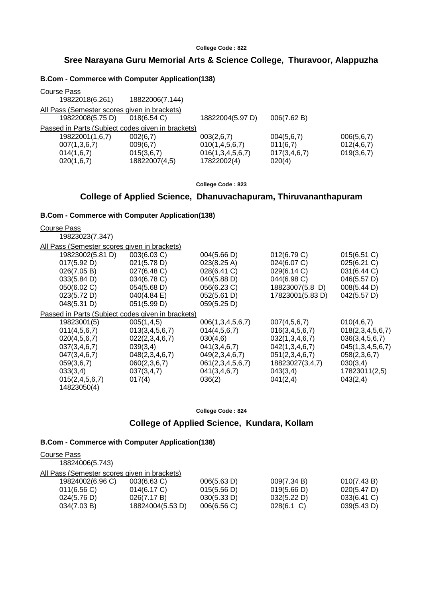# **Sree Narayana Guru Memorial Arts & Science College, Thuravoor, Alappuzha**

### **B.Com - Commerce with Computer Application(138)**

| <b>Course Pass</b>                                |                 |                    |                 |            |
|---------------------------------------------------|-----------------|--------------------|-----------------|------------|
| 19822018(6.261)                                   | 18822006(7.144) |                    |                 |            |
| All Pass (Semester scores given in brackets)      |                 |                    |                 |            |
| 19822008(5.75 D)                                  | $018(6.54)$ C)  | 18822004(5.97 D)   | 006(7.62 B)     |            |
| Passed in Parts (Subject codes given in brackets) |                 |                    |                 |            |
| 19822001(1,6,7)                                   | 002(6,7)        | 003(2,6,7)         | 004(5,6,7)      | 006(5,6,7) |
| 007(1,3,6,7)                                      | 009(6,7)        | 010(1, 4, 5, 6, 7) | 011(6,7)        | 012(4,6,7) |
| 014(1,6,7)                                        | 015(3,6,7)      | 016(1,3,4,5,6,7)   | 017(3, 4, 6, 7) | 019(3,6,7) |
| 020(1,6,7)                                        | 18822007(4,5)   | 17822002(4)        | 020(4)          |            |

**College Code : 823**

# **College of Applied Science, Dhanuvachapuram, Thiruvananthapuram**

## **B.Com - Commerce with Computer Application(138)**

| <b>Course Pass</b>                                |                |                  |                    |                  |
|---------------------------------------------------|----------------|------------------|--------------------|------------------|
| 19823023(7.347)                                   |                |                  |                    |                  |
| All Pass (Semester scores given in brackets)      |                |                  |                    |                  |
| 19823002(5.81 D)                                  | 003(6.03 C)    | 004(5.66 D)      | 012(6.79 C)        | 015(6.51 C)      |
| 017(5.92 D)                                       | 021(5.78 D)    | 023(8.25 A)      | 024(6.07 C)        | 025(6.21 C)      |
| 026(7.05 B)                                       | 027(6.48 C)    | 028(6.41 C)      | 029(6.14 C)        | 031(6.44 C)      |
| $033(5.84 \text{ D})$                             | 034(6.78 C)    | 040(5.88 D)      | 044(6.98 C)        | 046(5.57 D)      |
| 050(6.02 C)                                       | 054(5.68 D)    | 056(6.23 C)      | 18823007(5.8 D)    | 008(5.44 D)      |
| 023(5.72 D)                                       | 040(4.84 E)    | 052(5.61 D)      | 17823001(5.83 D)   | 042(5.57 D)      |
| 048(5.31 D)                                       | 051(5.99 D)    | 059(5.25 D)      |                    |                  |
| Passed in Parts (Subject codes given in brackets) |                |                  |                    |                  |
| 19823001(5)                                       | 005(1,4,5)     | 006(1,3,4,5,6,7) | 007(4,5,6,7)       | 010(4,6,7)       |
| 011(4,5,6,7)                                      | 013(3,4,5,6,7) | 014(4,5,6,7)     | 016(3, 4, 5, 6, 7) | 018(2,3,4,5,6,7) |
| 020(4,5,6,7)                                      | 022(2,3,4,6,7) | 030(4,6)         | 032(1,3,4,6,7)     | 036(3,4,5,6,7)   |
| 037(3,4,6,7)                                      | 039(3,4)       | 041(3, 4, 6, 7)  | 042(1,3,4,6,7)     | 045(1,3,4,5,6,7) |
| 047(3, 4, 6, 7)                                   | 048(2,3,4,6,7) | 049(2,3,4,6,7)   | 051(2,3,4,6,7)     | 058(2,3,6,7)     |
| 059(3,6,7)                                        | 060(2,3,6,7)   | 061(2,3,4,5,6,7) | 18823027(3,4,7)    | 030(3,4)         |
| 033(3,4)                                          | 037(3,4,7)     | 041(3, 4, 6, 7)  | 043(3,4)           | 17823011(2,5)    |
| 015(2, 4, 5, 6, 7)                                | 017(4)         | 036(2)           | 041(2,4)           | 043(2,4)         |
| 14823050(4)                                       |                |                  |                    |                  |

**College Code : 824**

# **College of Applied Science, Kundara, Kollam**

| Course Pass                                  |                  |             |               |                |
|----------------------------------------------|------------------|-------------|---------------|----------------|
| 18824006(5.743)                              |                  |             |               |                |
| All Pass (Semester scores given in brackets) |                  |             |               |                |
| 19824002(6.96 C)                             | $003(6.63)$ C)   | 006(5.63 D) | 009(7.34 B)   | 010(7.43 B)    |
| 011(6.56)                                    | 014(6.17 C)      | 015(5.56 D) | 019(5.66 D)   | 020(5.47 D)    |
| 024(5.76 D)                                  | 026(7.17 B)      | 030(5.33 D) | 032(5.22 D)   | $033(6.41)$ C) |
| 034(7.03 B)                                  | 18824004(5.53 D) | 006(6.56)   | $028(6.1)$ C) | 039(5.43 D)    |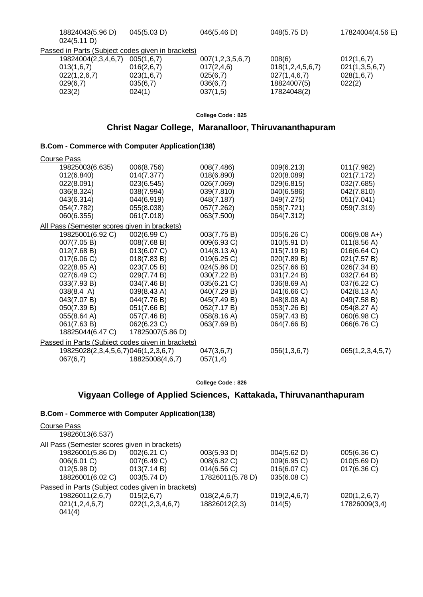| 18824043(5.96 D)<br>024(5.11 D)                   | 045(5.03 D) | 046(5.46 D)           | 048(5.75 D)           | 17824004(4.56 E) |
|---------------------------------------------------|-------------|-----------------------|-----------------------|------------------|
| Passed in Parts (Subject codes given in brackets) |             |                       |                       |                  |
| 19824004(2,3,4,6,7)                               | 005(1,6,7)  | 007(1, 2, 3, 5, 6, 7) | 008(6)                | 012(1,6,7)       |
| 013(1,6,7)                                        | 016(2,6,7)  | 017(2, 4, 6)          | 018(1, 2, 4, 5, 6, 7) | 021(1,3,5,6,7)   |
| 022(1,2,6,7)                                      | 023(1,6,7)  | 025(6,7)              | 027(1,4,6,7)          | 028(1,6,7)       |
| 029(6,7)                                          | 035(6,7)    | 036(6,7)              | 18824007(5)           | 022(2)           |
| 023(2)                                            | 024(1)      | 037(1,5)              | 17824048(2)           |                  |
|                                                   |             |                       |                       |                  |

# **Christ Nagar College, Maranalloor, Thiruvananthapuram**

## **B.Com - Commerce with Computer Application(138)**

| <b>Course Pass</b>                           |                                                   |             |              |                  |
|----------------------------------------------|---------------------------------------------------|-------------|--------------|------------------|
| 19825003(6.635)                              | 006(8.756)                                        | 008(7.486)  | 009(6.213)   | 011(7.982)       |
| 012(6.840)                                   | 014(7.377)                                        | 018(6.890)  | 020(8.089)   | 021(7.172)       |
| 022(8.091)                                   | 023(6.545)                                        | 026(7.069)  | 029(6.815)   | 032(7.685)       |
| 036(8.324)                                   | 038(7.994)                                        | 039(7.810)  | 040(6.586)   | 042(7.810)       |
| 043(6.314)                                   | 044(6.919)                                        | 048(7.187)  | 049(7.275)   | 051(7.041)       |
| 054(7.782)                                   | 055(8.038)                                        | 057(7.262)  | 058(7.721)   | 059(7.319)       |
| 060(6.355)                                   | 061(7.018)                                        | 063(7.500)  | 064(7.312)   |                  |
| All Pass (Semester scores given in brackets) |                                                   |             |              |                  |
| 19825001(6.92 C)                             | 002(6.99 C)                                       | 003(7.75 B) | 005(6.26 C)  | $006(9.08 A+)$   |
| 007(7.05 B)                                  | 008(7.68 B)                                       | 009(6.93 C) | 010(5.91 D)  | 011(8.56 A)      |
| 012(7.68 B)                                  | 013(6.07 C)                                       | 014(8.13 A) | 015(7.19 B)  | 016(6.64 C)      |
| 017(6.06 C)                                  | 018(7.83 B)                                       | 019(6.25 C) | 020(7.89 B)  | 021(7.57 B)      |
| 022(8.85 A)                                  | 023(7.05 B)                                       | 024(5.86 D) | 025(7.66 B)  | 026(7.34 B)      |
| 027(6.49 C)                                  | 029(7.74 B)                                       | 030(7.22 B) | 031(7.24 B)  | 032(7.64 B)      |
| 033(7.93 B)                                  | 034(7.46 B)                                       | 035(6.21 C) | 036(8.69 A)  | 037(6.22 C)      |
| $038(8.4 \text{ A})$                         | 039(8.43 A)                                       | 040(7.29 B) | 041(6.66 C)  | 042(8.13 A)      |
| 043(7.07 B)                                  | 044(7.76 B)                                       | 045(7.49 B) | 048(8.08 A)  | 049(7.58 B)      |
| 050(7.39 B)                                  | 051(7.66 B)                                       | 052(7.17 B) | 053(7.26 B)  | 054(8.27 A)      |
| 055(8.64 A)                                  | 057(7.46 B)                                       | 058(8.16 A) | 059(7.43 B)  | 060(6.98 C)      |
| 061(7.63 B)                                  | 062(6.23 C)                                       | 063(7.69 B) | 064(7.66 B)  | 066(6.76 C)      |
| 18825044(6.47 C)                             | 17825007(5.86 D)                                  |             |              |                  |
|                                              | Passed in Parts (Subject codes given in brackets) |             |              |                  |
| 19825028(2,3,4,5,6,7)046(1,2,3,6,7)          |                                                   | 047(3,6,7)  | 056(1,3,6,7) | 065(1,2,3,4,5,7) |
| 067(6,7)                                     | 18825008(4,6,7)                                   | 057(1,4)    |              |                  |
|                                              |                                                   |             |              |                  |

**College Code : 826**

# **Vigyaan College of Applied Sciences, Kattakada, Thiruvananthapuram**

| Course Pass<br>19826013(6.537)                    |                  |                  |                 |               |
|---------------------------------------------------|------------------|------------------|-----------------|---------------|
| All Pass (Semester scores given in brackets)      |                  |                  |                 |               |
| 19826001(5.86 D)                                  | 002(6.21)        | 003(5.93 D)      | 004(5.62 D)     | 005(6.36 C)   |
| 006(6.01 C)                                       | 007(6.49 C)      | 008(6.82 C)      | 009(6.95 C)     | 010(5.69 D)   |
| 012(5.98 D)                                       | 013(7.14 B)      | 014(6.56)        | 016(6.07 C)     | 017(6.36)     |
| 18826001(6.02 C)                                  | 003(5.74 D)      | 17826011(5.78 D) | 035(6.08 C)     |               |
| Passed in Parts (Subject codes given in brackets) |                  |                  |                 |               |
| 19826011(2,6,7)                                   | 015(2,6,7)       | 018(2, 4, 6, 7)  | 019(2, 4, 6, 7) | 020(1,2,6,7)  |
| 021(1, 2, 4, 6, 7)                                | 022(1,2,3,4,6,7) | 18826012(2,3)    | 014(5)          | 17826009(3,4) |
| 041(4)                                            |                  |                  |                 |               |
|                                                   |                  |                  |                 |               |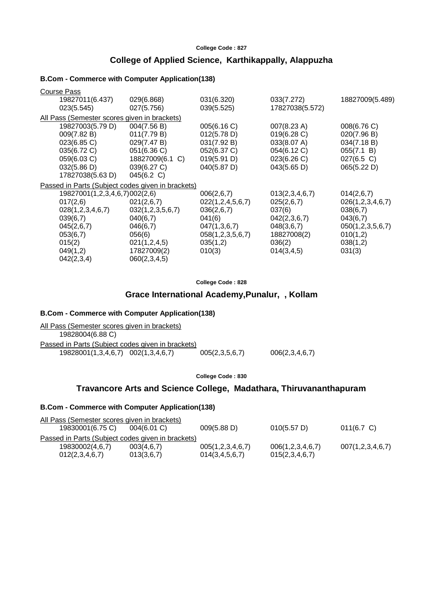# **College of Applied Science, Karthikappally, Alappuzha**

### **B.Com - Commerce with Computer Application(138)**

| <b>Course Pass</b>                                |                  |                  |                       |                  |
|---------------------------------------------------|------------------|------------------|-----------------------|------------------|
| 19827011(6.437)                                   | 029(6.868)       | 031(6.320)       | 033(7.272)            | 18827009(5.489)  |
| 023(5.545)                                        | 027(5.756)       | 039(5.525)       | 17827038(5.572)       |                  |
| All Pass (Semester scores given in brackets)      |                  |                  |                       |                  |
| 19827003(5.79 D)                                  | 004(7.56 B)      | 005(6.16 C)      | $007(8.23 \text{ A})$ | 008(6.76 C)      |
| 009(7.82 B)                                       | 011(7.79 B)      | 012(5.78 D)      | 019(6.28 C)           | 020(7.96 B)      |
| 023(6.85 C)                                       | 029(7.47 B)      | 031(7.92 B)      | 033(8.07 A)           | 034(7.18 B)      |
| 035(6.72 C)                                       | 051(6.36 C)      | 052(6.37 C)      | 054(6.12 C)           | 055(7.1 B)       |
| 059(6.03 C)                                       | 18827009(6.1 C)  | 019(5.91 D)      | 023(6.26 C)           | $027(6.5)$ C)    |
| 032(5.86 D)                                       | 039(6.27 C)      | 040(5.87 D)      | 043(5.65 D)           | 065(5.22 D)      |
| 17827038(5.63 D)                                  | 045(6.2 C)       |                  |                       |                  |
| Passed in Parts (Subject codes given in brackets) |                  |                  |                       |                  |
| 19827001(1,2,3,4,6,7)002(2,6)                     |                  | 006(2,6,7)       | 013(2,3,4,6,7)        | 014(2,6,7)       |
| 017(2,6)                                          | 021(2,6,7)       | 022(1,2,4,5,6,7) | 025(2,6,7)            | 026(1,2,3,4,6,7) |
| 028(1,2,3,4,6,7)                                  | 032(1,2,3,5,6,7) | 036(2,6,7)       | 037(6)                | 038(6,7)         |
| 039(6,7)                                          | 040(6,7)         | 041(6)           | 042(2,3,6,7)          | 043(6,7)         |
| 045(2,6,7)                                        | 046(6,7)         | 047(1,3,6,7)     | 048(3,6,7)            | 050(1,2,3,5,6,7) |
| 053(6,7)                                          | 056(6)           | 058(1,2,3,5,6,7) | 18827008(2)           | 010(1,2)         |
| 015(2)                                            | 021(1,2,4,5)     | 035(1,2)         | 036(2)                | 038(1,2)         |
| 049(1,2)                                          | 17827009(2)      | 010(3)           | 014(3, 4, 5)          | 031(3)           |
| 042(2,3,4)                                        | 060(2,3,4,5)     |                  |                       |                  |

**College Code : 828**

# **Grace International Academy,Punalur, , Kollam**

### **B.Com - Commerce with Computer Application(138)**

| All Pass (Semester scores given in brackets)      |                |                |
|---------------------------------------------------|----------------|----------------|
| 19828004(6.88 C)                                  |                |                |
| Passed in Parts (Subject codes given in brackets) |                |                |
| 19828001(1,3,4,6,7) 002(1,3,4,6,7)                | 005(2,3,5,6,7) | 006(2,3,4,6,7) |

**College Code : 830**

# **Travancore Arts and Science College, Madathara, Thiruvananthapuram**

| All Pass (Semester scores given in brackets)      |                |                    |                  |                  |
|---------------------------------------------------|----------------|--------------------|------------------|------------------|
| 19830001(6.75 C)                                  | $004(6.01)$ C) | 009(5.88 D)        | 010(5.57 D)      | $011(6.7)$ C)    |
| Passed in Parts (Subject codes given in brackets) |                |                    |                  |                  |
| 19830002(4,6,7)                                   | 003(4.6.7)     | 005(1,2,3,4,6,7)   | 006(1,2,3,4,6,7) | 007(1,2,3,4,6,7) |
| 012(2,3,4,6,7)                                    | 013(3,6,7)     | 014(3, 4, 5, 6, 7) | 015(2,3,4,6,7)   |                  |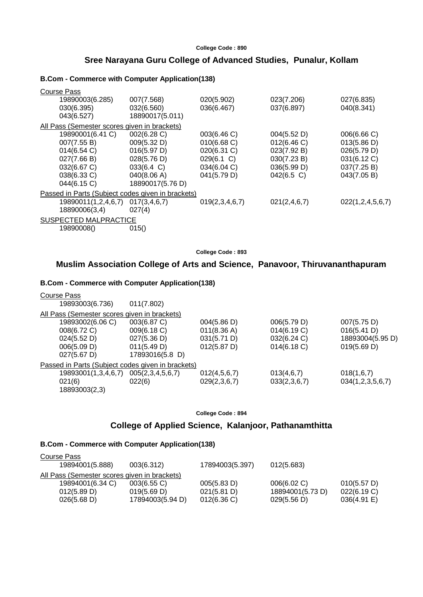# **Sree Narayana Guru College of Advanced Studies, Punalur, Kollam**

### **B.Com - Commerce with Computer Application(138)**

| <b>Course Pass</b>                                |                      |                |              |                  |
|---------------------------------------------------|----------------------|----------------|--------------|------------------|
| 19890003(6.285)                                   | 007(7.568)           | 020(5.902)     | 023(7.206)   | 027(6.835)       |
| 030(6.395)                                        | 032(6.560)           | 036(6.467)     | 037(6.897)   | 040(8.341)       |
| 043(6.527)                                        | 18890017(5.011)      |                |              |                  |
| All Pass (Semester scores given in brackets)      |                      |                |              |                  |
| 19890001(6.41 C)                                  | 002(6.28 C)          | 003(6.46 C)    | 004(5.52 D)  | 006(6.66 C)      |
| 007(7.55 B)                                       | 009(5.32 D)          | 010(6.68)      | 012(6.46)    | 013(5.86 D)      |
| 014(6.54)                                         | 016(5.97 D)          | 020(6.31 C)    | 023(7.92 B)  | 026(5.79 D)      |
| 027(7.66 B)                                       | 028(5.76 D)          | 029(6.1 C)     | 030(7.23 B)  | 031(6.12 C)      |
| 032(6.67 C)                                       | $033(6.4 \text{ C})$ | 034(6.04 C)    | 036(5.99 D)  | 037(7.25 B)      |
| 038(6.33 C)                                       | 040(8.06 A)          | 041(5.79 D)    | 042(6.5 C)   | 043(7.05 B)      |
| 044(6.15 C)                                       | 18890017(5.76 D)     |                |              |                  |
| Passed in Parts (Subject codes given in brackets) |                      |                |              |                  |
| 19890011(1,2,4,6,7)                               | 017(3, 4, 6, 7)      | 019(2,3,4,6,7) | 021(2,4,6,7) | 022(1,2,4,5,6,7) |
| 18890006(3,4)                                     | 027(4)               |                |              |                  |
| SUSPECTED MALPRACTICE                             |                      |                |              |                  |
| 19890008()                                        | 015()                |                |              |                  |

**College Code : 893**

# **Muslim Association College of Arts and Science, Panavoor, Thiruvananthapuram**

#### **B.Com - Commerce with Computer Application(138)**

| Course Pass                                  |                                                   |                       |              |                  |
|----------------------------------------------|---------------------------------------------------|-----------------------|--------------|------------------|
| 19893003(6.736)                              | 011(7.802)                                        |                       |              |                  |
| All Pass (Semester scores given in brackets) |                                                   |                       |              |                  |
| 19893002(6.06 C)                             | 003(6.87 C)                                       | 004(5.86 D)           | 006(5.79 D)  | 007(5.75 D)      |
| 008(6.72 C)                                  | 009(6.18 C)                                       | 011(8.36 A)           | 014(6.19 C)  | 016(5.41 D)      |
| 024(5.52 D)                                  | 027(5.36 D)                                       | 031(5.71 D)           | 032(6.24 C)  | 18893004(5.95 D) |
| 006(5.09 D)                                  | 011(5.49 D)                                       | $012(5.87 \text{ D})$ | 014(6.18)    | 019(5.69 D)      |
| $027(5.67 \text{ D})$                        | 17893016(5.8 D)                                   |                       |              |                  |
|                                              | Passed in Parts (Subject codes given in brackets) |                       |              |                  |
| 19893001(1,3,4,6,7)                          | 005(2,3,4,5,6,7)                                  | 012(4,5,6,7)          | 013(4,6,7)   | 018(1,6,7)       |
| 021(6)                                       | 022(6)                                            | 029(2,3,6,7)          | 033(2,3,6,7) | 034(1,2,3,5,6,7) |
| 18893003(2,3)                                |                                                   |                       |              |                  |

### **College Code : 894**

# **College of Applied Science, Kalanjoor, Pathanamthitta**

| Course Pass                                  |                  |                 |                  |             |
|----------------------------------------------|------------------|-----------------|------------------|-------------|
| 19894001(5.888)                              | 003(6.312)       | 17894003(5.397) | 012(5.683)       |             |
| All Pass (Semester scores given in brackets) |                  |                 |                  |             |
| 19894001(6.34 C)                             | $003(6.55)$ C)   | 005(5.83 D)     | 006(6.02 C)      | 010(5.57 D) |
| 012(5.89 D)                                  | 019(5.69 D)      | 021(5.81 D)     | 18894001(5.73 D) | 022(6.19 C) |
| 026(5.68 D)                                  | 17894003(5.94 D) | 012(6.36)       | 029(5.56 D)      | 036(4.91 E) |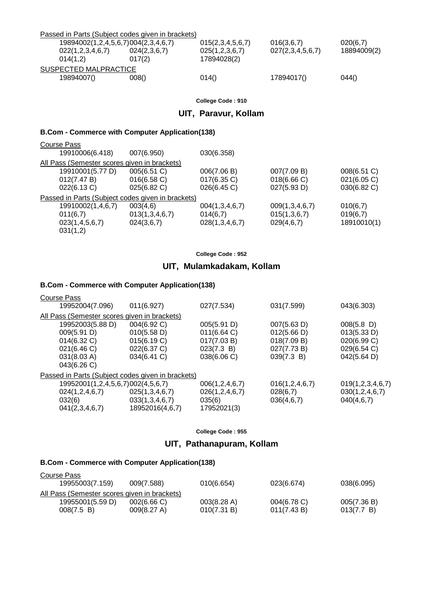|                       | Passed in Parts (Subject codes given in brackets) |                  |                  |             |  |
|-----------------------|---------------------------------------------------|------------------|------------------|-------------|--|
|                       | 19894002(1,2,4,5,6,7)004(2,3,4,6,7)               | 015(2,3,4,5,6,7) | 016(3,6,7)       | 020(6,7)    |  |
| 022(1,2,3,4,6,7)      | 024(2,3,6,7)                                      | 025(1,2,3,6,7)   | 027(2,3,4,5,6,7) | 18894009(2) |  |
| 014(1.2)              | 017(2)                                            | 17894028(2)      |                  |             |  |
| SUSPECTED MALPRACTICE |                                                   |                  |                  |             |  |
| 19894007()            | 008()                                             | 014()            | 17894017()       | 044()       |  |

# **UIT, Paravur, Kollam**

### **B.Com - Commerce with Computer Application(138)**

| Course Pass                                       |                |                |                |             |
|---------------------------------------------------|----------------|----------------|----------------|-------------|
| 19910006(6.418)                                   | 007(6.950)     | 030(6.358)     |                |             |
| All Pass (Semester scores given in brackets)      |                |                |                |             |
| 19910001(5.77 D)                                  | 005(6.51 C)    | 006(7.06 B)    | 007(7.09 B)    | 008(6.51 C) |
| 012(7.47 B)                                       | 016(6.58)      | $017(6.35)$ C) | 018(6.66 C)    | 021(6.05 C) |
| 022(6.13 C)                                       | 025(6.82)      | 026(6.45 C)    | 027(5.93 D)    | 030(6.82 C) |
| Passed in Parts (Subject codes given in brackets) |                |                |                |             |
| 19910002(1,4,6,7)                                 | 003(4,6)       | 004(1,3,4,6,7) | 009(1,3,4,6,7) | 010(6,7)    |
| 011(6,7)                                          | 013(1,3,4,6,7) | 014(6,7)       | 015(1,3,6,7)   | 019(6,7)    |
| 023(1,4,5,6,7)                                    | 024(3,6,7)     | 028(1,3,4,6,7) | 029(4,6,7)     | 18910010(1) |
| 031(1,2)                                          |                |                |                |             |
|                                                   |                |                |                |             |

**College Code : 952**

# **UIT, Mulamkadakam, Kollam**

### **B.Com - Commerce with Computer Application(138)**

| Course Pass                                       |                 |                    |                    |                  |
|---------------------------------------------------|-----------------|--------------------|--------------------|------------------|
| 19952004(7.096)                                   | 011(6.927)      | 027(7.534)         | 031(7.599)         | 043(6.303)       |
| All Pass (Semester scores given in brackets)      |                 |                    |                    |                  |
| 19952003(5.88 D)                                  | 004(6.92 C)     | 005(5.91 D)        | 007(5.63 D)        | $008(5.8)$ D)    |
| 009(5.91 D)                                       | 010(5.58 D)     | 011(6.64)          | 012(5.66 D)        | 013(5.33 D)      |
| 014(6.32 C)                                       | 015(6.19 C)     | 017(7.03 B)        | 018(7.09 B)        | 020(6.99 C)      |
| 021(6.46 C)                                       | 022(6.37 C)     | 023(7.3 B)         | 027(7.73 B)        | 029(6.54 C)      |
| 031(8.03 A)                                       | 034(6.41 C)     | 038(6.06 C)        | 039(7.3 B)         | 042(5.64 D)      |
| 043(6.26 C)                                       |                 |                    |                    |                  |
| Passed in Parts (Subject codes given in brackets) |                 |                    |                    |                  |
| 19952001(1,2,4,5,6,7)002(4,5,6,7)                 |                 | 006(1, 2, 4, 6, 7) | 016(1, 2, 4, 6, 7) | 019(1,2,3,4,6,7) |
| 024(1,2,4,6,7)                                    | 025(1,3,4,6,7)  | 026(1, 2, 4, 6, 7) | 028(6,7)           | 030(1,2,4,6,7)   |
| 032(6)                                            | 033(1,3,4,6,7)  | 035(6)             | 036(4,6,7)         | 040(4,6,7)       |
| 041(2,3,4,6,7)                                    | 18952016(4,6,7) | 17952021(3)        |                    |                  |
|                                                   |                 |                    |                    |                  |

**College Code : 955**

# **UIT, Pathanapuram, Kollam**

| Course Pass                                  |             |                       |                |             |
|----------------------------------------------|-------------|-----------------------|----------------|-------------|
| 19955003(7.159)                              | 009(7.588)  | 010(6.654)            | 023(6.674)     | 038(6.095)  |
| All Pass (Semester scores given in brackets) |             |                       |                |             |
| 19955001(5.59 D)                             | 002(6.66)   | $003(8.28 \text{ A})$ | $004(6.78)$ C) | 005(7.36 B) |
| 008(7.5 B)                                   | 009(8.27 A) | 010(7.31 B)           | 011(7.43 B)    | 013(7.7 B)  |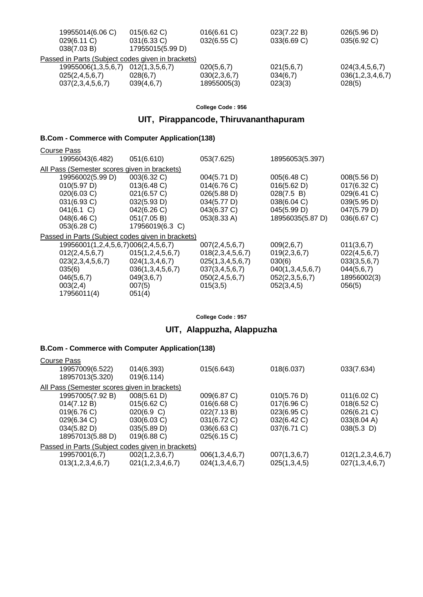| 026(5.96 D)      |
|------------------|
| 035(6.92 C)      |
|                  |
|                  |
| 024(3,4,5,6,7)   |
| 036(1,2,3,4,6,7) |
|                  |
|                  |

# **UIT, Pirappancode, Thiruvananthapuram**

# **B.Com - Commerce with Computer Application(138)**

| <b>Course Pass</b>                           |                                                   |                    |                  |              |
|----------------------------------------------|---------------------------------------------------|--------------------|------------------|--------------|
| 19956043(6.482)                              | 051(6.610)                                        | 053(7.625)         | 18956053(5.397)  |              |
| All Pass (Semester scores given in brackets) |                                                   |                    |                  |              |
| 19956002(5.99 D)                             | 003(6.32 C)                                       | 004(5.71 D)        | 005(6.48 C)      | 008(5.56 D)  |
| 010(5.97 D)                                  | 013(6.48 C)                                       | 014(6.76 C)        | 016(5.62 D)      | 017(6.32 C)  |
| 020(6.03 C)                                  | 021(6.57 C)                                       | 026(5.88 D)        | 028(7.5 B)       | 029(6.41 C)  |
| 031(6.93 C)                                  | 032(5.93 D)                                       | 034(5.77 D)        | 038(6.04 C)      | 039(5.95 D)  |
| 041(6.1 C)                                   | 042(6.26 C)                                       | 043(6.37 C)        | 045(5.99 D)      | 047(5.79 D)  |
| 048(6.46 C)                                  | 051(7.05 B)                                       | 053(8.33 A)        | 18956035(5.87 D) | 036(6.67 C)  |
| 053(6.28 C)                                  | 17956019(6.3 C)                                   |                    |                  |              |
|                                              | Passed in Parts (Subject codes given in brackets) |                    |                  |              |
| 19956001(1,2,4,5,6,7)006(2,4,5,6,7)          |                                                   | 007(2, 4, 5, 6, 7) | 009(2,6,7)       | 011(3,6,7)   |
| 012(2, 4, 5, 6, 7)                           | 015(1, 2, 4, 5, 6, 7)                             | 018(2,3,4,5,6,7)   | 019(2,3,6,7)     | 022(4,5,6,7) |
| 023(2,3,4,5,6,7)                             | 024(1,3,4,6,7)                                    | 025(1,3,4,5,6,7)   | 030(6)           | 033(3,5,6,7) |
| 035(6)                                       | 036(1,3,4,5,6,7)                                  | 037(3,4,5,6,7)     | 040(1,3,4,5,6,7) | 044(5,6,7)   |
| 046(5,6,7)                                   | 049(3,6,7)                                        | 050(2, 4, 5, 6, 7) | 052(2,3,5,6,7)   | 18956002(3)  |
| 003(2,4)                                     | 007(5)                                            | 015(3,5)           | 052(3,4,5)       | 056(5)       |
| 17956011(4)                                  | 051(4)                                            |                    |                  |              |
|                                              |                                                   |                    |                  |              |

**College Code : 957**

# **UIT, Alappuzha, Alappuzha**

| Course Pass                                       |                  |                |              |                  |
|---------------------------------------------------|------------------|----------------|--------------|------------------|
| 19957009(6.522)                                   | 014(6.393)       | 015(6.643)     | 018(6.037)   | 033(7.634)       |
| 18957013(5.320)                                   | 019(6.114)       |                |              |                  |
| All Pass (Semester scores given in brackets)      |                  |                |              |                  |
| 19957005(7.92 B)                                  | 008(5.61 D)      | 009(6.87 C)    | 010(5.76 D)  | 011(6.02 C)      |
| 014(7.12 B)                                       | 015(6.62 C)      | 016(6.68 C)    | 017(6.96 C)  | 018(6.52)        |
| 019(6.76)                                         | 020(6.9 C)       | 022(7.13 B)    | 023(6.95 C)  | 026(6.21 C)      |
| 029(6.34 C)                                       | 030(6.03 C)      | 031(6.72 C)    | 032(6.42 C)  | 033(8.04 A)      |
| 034(5.82 D)                                       | 035(5.89 D)      | 036(6.63 C)    | 037(6.71 C)  | $038(5.3)$ D)    |
| 18957013(5.88 D)                                  | $019(6.88)$ C)   | 025(6.15)      |              |                  |
| Passed in Parts (Subject codes given in brackets) |                  |                |              |                  |
| 19957001(6,7)                                     | 002(1,2,3,6,7)   | 006(1,3,4,6,7) | 007(1,3,6,7) | 012(1,2,3,4,6,7) |
| 013(1,2,3,4,6,7)                                  | 021(1,2,3,4,6,7) | 024(1,3,4,6,7) | 025(1,3,4,5) | 027(1,3,4,6,7)   |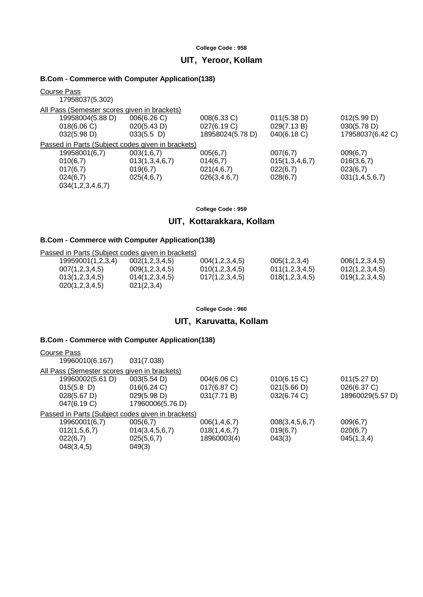# **UIT, Yeroor, Kollam**

### **B.Com - Commerce with Computer Application(138)**

| Course Pass<br>17958037(5.302)                    |                |                  |                |                  |
|---------------------------------------------------|----------------|------------------|----------------|------------------|
| All Pass (Semester scores given in brackets)      |                |                  |                |                  |
| 19958004(5.88 D)                                  | 006(6.26 C)    | 008(6.33 C)      | 011(5.38 D)    | 012(5.99 D)      |
| 018(6.06)                                         | 020(5.43 D)    | 027(6.19 C)      | 029(7.13 B)    | 030(5.78 D)      |
| 032(5.98 D)                                       | $033(5.5)$ D)  | 18958024(5.78 D) | 040(6.18)      | 17958037(6.42 C) |
| Passed in Parts (Subject codes given in brackets) |                |                  |                |                  |
| 19958001(6,7)                                     | 003(1,6,7)     | 005(6,7)         | 007(6,7)       | 009(6,7)         |
| 010(6,7)                                          | 013(1,3,4,6,7) | 014(6,7)         | 015(1,3,4,6,7) | 016(3,6,7)       |
| 017(6,7)                                          | 019(6,7)       | 021(4,6,7)       | 022(6,7)       | 023(6,7)         |
| 024(6,7)                                          | 025(4,6,7)     | 026(3,4,6,7)     | 028(6,7)       | 031(1,4,5,6,7)   |
| 034(1,2,3,4,6,7)                                  |                |                  |                |                  |
|                                                   |                |                  |                |                  |

#### **College Code : 959**

# **UIT, Kottarakkara, Kollam**

### **B.Com - Commerce with Computer Application(138)**

| <b>B.COM - COMMITTED COMMIT COMPUTER APPROXICATION</b> |                    |                                                   |                |  |  |
|--------------------------------------------------------|--------------------|---------------------------------------------------|----------------|--|--|
|                                                        |                    |                                                   |                |  |  |
| 002(1,2,3,4,5)                                         | 004(1,2,3,4,5)     | 005(1,2,3,4)                                      | 006(1,2,3,4,5) |  |  |
| 009(1,2,3,4,5)                                         | 010(1, 2, 3, 4, 5) | 011(1,2,3,4,5)                                    | 012(1,2,3,4,5) |  |  |
| 014(1,2,3,4,5)                                         | 017(1,2,3,4,5)     | 018(1,2,3,4,5)                                    | 019(1,2,3,4,5) |  |  |
| 021(2,3,4)                                             |                    |                                                   |                |  |  |
|                                                        |                    | Passed in Parts (Subject codes given in brackets) |                |  |  |

#### **College Code : 960**

### **UIT, Karuvatta, Kollam**

| Course Pass                                       |                    |                 |                    |                  |
|---------------------------------------------------|--------------------|-----------------|--------------------|------------------|
| 19960010(6.167)                                   | 031(7.038)         |                 |                    |                  |
| All Pass (Semester scores given in brackets)      |                    |                 |                    |                  |
| 19960002(5.61 D)                                  | 003(5.54 D)        | 004(6.06 C)     | 010(6.15 C)        | 011(5.27 D)      |
| $015(5.8)$ D)                                     | 016(6.24)          | 017(6.87 C)     | 021(5.66 D)        | 026(6.37 C)      |
| $028(5.67 \text{ D})$                             | 029(5.98 D)        | 031(7.71 B)     | 032(6.74 C)        | 18960029(5.57 D) |
| 047(6.19 C)                                       | 17960006(5.76 D)   |                 |                    |                  |
| Passed in Parts (Subject codes given in brackets) |                    |                 |                    |                  |
| 19960001(6,7)                                     | 005(6,7)           | 006(1, 4, 6, 7) | 008(3, 4, 5, 6, 7) | 009(6,7)         |
| 012(1,5,6,7)                                      | 014(3, 4, 5, 6, 7) | 018(1, 4, 6, 7) | 019(6,7)           | 020(6,7)         |
| 022(6,7)                                          | 025(5,6,7)         | 18960003(4)     | 043(3)             | 045(1,3,4)       |
| 048(3, 4, 5)                                      | 049(3)             |                 |                    |                  |
|                                                   |                    |                 |                    |                  |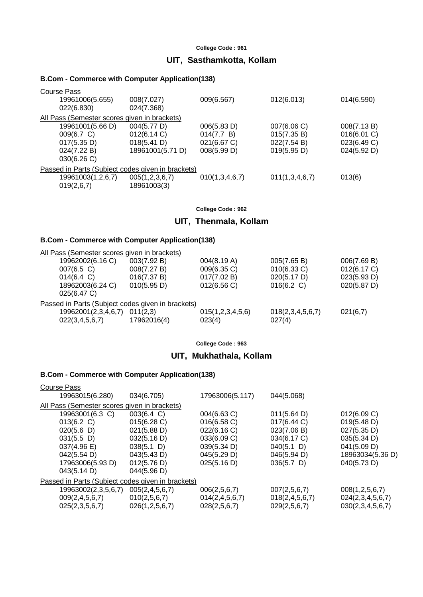# **UIT, Sasthamkotta, Kollam**

### **B.Com - Commerce with Computer Application(138)**

| 19961006(5.655)   |                                                                                                                                                                                                                                 |                                                                                         | 014(6.590)                                                                               |
|-------------------|---------------------------------------------------------------------------------------------------------------------------------------------------------------------------------------------------------------------------------|-----------------------------------------------------------------------------------------|------------------------------------------------------------------------------------------|
| 022(6.830)        |                                                                                                                                                                                                                                 |                                                                                         |                                                                                          |
|                   |                                                                                                                                                                                                                                 |                                                                                         |                                                                                          |
| 19961001(5.66 D)  |                                                                                                                                                                                                                                 |                                                                                         | 008(7.13 B)                                                                              |
| 009(6.7 C)        |                                                                                                                                                                                                                                 |                                                                                         | 016(6.01 C)                                                                              |
| 017(5.35 D)       |                                                                                                                                                                                                                                 |                                                                                         | 023(6.49 C)                                                                              |
| 024(7.22 B)       |                                                                                                                                                                                                                                 |                                                                                         | 024(5.92 D)                                                                              |
| 030(6.26)         |                                                                                                                                                                                                                                 |                                                                                         |                                                                                          |
|                   |                                                                                                                                                                                                                                 |                                                                                         |                                                                                          |
| 19961003(1,2,6,7) |                                                                                                                                                                                                                                 |                                                                                         | 013(6)                                                                                   |
|                   |                                                                                                                                                                                                                                 |                                                                                         |                                                                                          |
|                   | 008(7.027)<br>024(7.368)<br>All Pass (Semester scores given in brackets)<br>004(5.77 D)<br>012(6.14 C)<br>018(5.41 D)<br>18961001(5.71 D)<br>Passed in Parts (Subject codes given in brackets)<br>005(1,2,3,6,7)<br>18961003(3) | 009(6.567)<br>006(5.83 D)<br>014(7.7 B)<br>021(6.67 C)<br>008(5.99 D)<br>010(1,3,4,6,7) | 012(6.013)<br>007(6.06 C)<br>015(7.35 B)<br>022(7.54 B)<br>019(5.95 D)<br>011(1,3,4,6,7) |

#### **College Code : 962**

# **UIT, Thenmala, Kollam**

## **B.Com - Commerce with Computer Application(138)**

| All Pass (Semester scores given in brackets)      |                         |                            |                            |             |
|---------------------------------------------------|-------------------------|----------------------------|----------------------------|-------------|
| 19962002(6.16 C)                                  | 003(7.92 B)             | 004(8.19 A)                | 005(7.65 B)                | 006(7.69 B) |
| $007(6.5)$ C)                                     | 008(7.27 B)             | 009(6.35 C)                | 010(6.33 C)                | 012(6.17 C) |
| $014(6.4 \text{ C})$                              | 016(7.37 B)             | 017(7.02 B)                | 020(5.17 D)                | 023(5.93 D) |
| 18962003(6.24 C)<br>025(6.47 C)                   | 010(5.95 D)             | 012(6.56)                  | 016(6.2 C)                 | 020(5.87 D) |
| Passed in Parts (Subject codes given in brackets) |                         |                            |                            |             |
| 19962001(2,3,4,6,7)<br>022(3,4,5,6,7)             | 011(2,3)<br>17962016(4) | 015(1,2,3,4,5,6)<br>023(4) | 018(2,3,4,5,6,7)<br>027(4) | 021(6,7)    |

**College Code : 963**

# **UIT, Mukhathala, Kollam**

| Course Pass                                       |                    |                    |                    |                    |
|---------------------------------------------------|--------------------|--------------------|--------------------|--------------------|
| 19963015(6.280)                                   | 034(6.705)         | 17963006(5.117)    | 044(5.068)         |                    |
| All Pass (Semester scores given in brackets)      |                    |                    |                    |                    |
| 19963001(6.3 C)                                   | 003(6.4 C)         | 004(6.63 C)        | 011(5.64 D)        | 012(6.09 C)        |
| 013(6.2 C)                                        | 015(6.28)          | 016(6.58)          | 017(6.44 C)        | 019(5.48 D)        |
| 020(5.6)                                          | 021(5.88 D)        | 022(6.16 C)        | 023(7.06 B)        | 027(5.35 D)        |
| $031(5.5)$ D)                                     | 032(5.16 D)        | 033(6.09 C)        | 034(6.17 C)        | 035(5.34 D)        |
| 037(4.96)                                         | $038(5.1)$ D)      | 039(5.34 D)        | $040(5.1)$ D)      | 041(5.09 D)        |
| 042(5.54 D)                                       | 043(5.43 D)        | 045(5.29 D)        | 046(5.94 D)        | 18963034(5.36 D)   |
| 17963006(5.93 D)                                  | 012(5.76 D)        | 025(5.16 D)        | $036(5.7)$ D)      | 040(5.73 D)        |
| 043(5.14 D)                                       | 044(5.96 D)        |                    |                    |                    |
| Passed in Parts (Subject codes given in brackets) |                    |                    |                    |                    |
| 19963002(2,3,5,6,7)                               | 005(2, 4, 5, 6, 7) | 006(2,5,6,7)       | 007(2,5,6,7)       | 008(1, 2, 5, 6, 7) |
| 009(2, 4, 5, 6, 7)                                | 010(2,5,6,7)       | 014(2, 4, 5, 6, 7) | 018(2, 4, 5, 6, 7) | 024(2,3,4,5,6,7)   |
| 025(2,3,5,6,7)                                    | 026(1, 2, 5, 6, 7) | 028(2,5,6,7)       | 029(2,5,6,7)       | 030(2,3,4,5,6,7)   |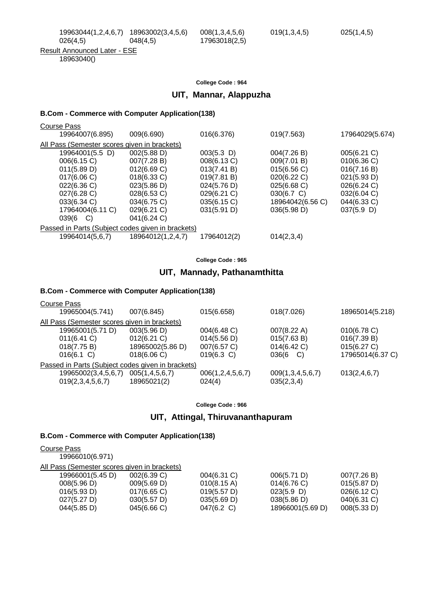18963040()

### **College Code : 964**

### **UIT, Mannar, Alappuzha**

#### **B.Com - Commerce with Computer Application(138)**

| Course Pass                                       |                   |               |                  |                 |  |
|---------------------------------------------------|-------------------|---------------|------------------|-----------------|--|
| 19964007(6.895)                                   | 009(6.690)        | 016(6.376)    | 019(7.563)       | 17964029(5.674) |  |
| All Pass (Semester scores given in brackets)      |                   |               |                  |                 |  |
| 19964001(5.5 D)                                   | 002(5.88 D)       | $003(5.3)$ D) | 004(7.26 B)      | 005(6.21)       |  |
| 006(6.15 C)                                       | 007(7.28 B)       | 008(6.13 C)   | 009(7.01 B)      | 010(6.36)       |  |
| 011(5.89 D)                                       | 012(6.69 C)       | 013(7.41 B)   | 015(6.56 C)      | 016(7.16 B)     |  |
| 017(6.06)                                         | $018(6.33)$ C)    | 019(7.81 B)   | $020(6.22)$ C)   | 021(5.93 D)     |  |
| 022(6.36)                                         | 023(5.86 D)       | 024(5.76 D)   | 025(6.68)        | 026(6.24 C)     |  |
| $027(6.28)$ C)                                    | 028(6.53 C)       | 029(6.21 C)   | $030(6.7)$ C)    | 032(6.04 C)     |  |
| $033(6.34)$ C)                                    | 034(6.75 C)       | 035(6.15 C)   | 18964042(6.56 C) | 044(6.33 C)     |  |
| 17964004(6.11 C)                                  | 029(6.21 C)       | 031(5.91 D)   | 036(5.98 D)      | $037(5.9)$ D)   |  |
| $039(6 \quad C)$                                  | 041(6.24 C)       |               |                  |                 |  |
| Passed in Parts (Subject codes given in brackets) |                   |               |                  |                 |  |
| 19964014(5,6,7)                                   | 18964012(1,2,4,7) | 17964012(2)   | 014(2,3,4)       |                 |  |

**College Code : 965**

# **UIT, Mannady, Pathanamthitta**

### **B.Com - Commerce with Computer Application(138)**

| Course Pass                                       |                    |                       |                  |                  |
|---------------------------------------------------|--------------------|-----------------------|------------------|------------------|
| 19965004(5.741)                                   | 007(6.845)         | 015(6.658)            | 018(7.026)       | 18965014(5.218)  |
| All Pass (Semester scores given in brackets)      |                    |                       |                  |                  |
| 19965001(5.71 D)                                  | 003(5.96 D)        | 004(6.48 C)           | 007(8.22 A)      | 010(6.78 C)      |
| 011(6.41)                                         | 012(6.21 C)        | 014(5.56 D)           | 015(7.63 B)      | 016(7.39 B)      |
| 018(7.75 B)                                       | 18965002(5.86 D)   | 007(6.57 C)           | 014(6.42 C)      | 015(6.27 C)      |
| $016(6.1)$ C)                                     | 018(6.06)          | $019(6.3)$ C)         | 036(6<br>C)      | 17965014(6.37 C) |
| Passed in Parts (Subject codes given in brackets) |                    |                       |                  |                  |
| 19965002(3,4,5,6,7)                               | 005(1, 4, 5, 6, 7) | 006(1, 2, 4, 5, 6, 7) | 009(1,3,4,5,6,7) | 013(2, 4, 6, 7)  |
| 019(2,3,4,5,6,7)                                  | 18965021(2)        | 024(4)                | 035(2,3,4)       |                  |
|                                                   |                    |                       |                  |                  |

**College Code : 966**

### **UIT, Attingal, Thiruvananthapuram**

| Course Pass                                  |             |             |                  |             |
|----------------------------------------------|-------------|-------------|------------------|-------------|
| 19966010(6.971)                              |             |             |                  |             |
| All Pass (Semester scores given in brackets) |             |             |                  |             |
| 19966001(5.45 D)                             | 002(6.39 C) | 004(6.31 C) | 006(5.71 D)      | 007(7.26 B) |
| 008(5.96 D)                                  | 009(5.69 D) | 010(8.15 A) | 014(6.76)        | 015(5.87 D) |
| 016(5.93 D)                                  | 017(6.65)   | 019(5.57 D) | $023(5.9)$ D)    | 026(6.12 C) |
| 027(5.27 D)                                  | 030(5.57 D) | 035(5.69 D) | 038(5.86 D)      | 040(6.31 C) |
| 044(5.85 D)                                  | 045(6.66 C) | 047(6.2 C)  | 18966001(5.69 D) | 008(5.33 D) |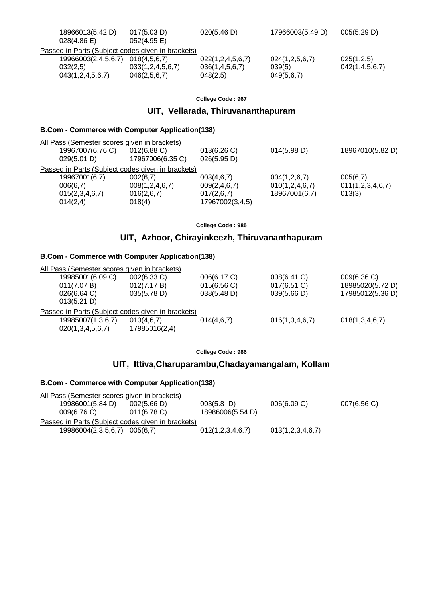| 18966013(5.42 D)                                  | 017(5.03 D)      | 020(5.46 D)      | 17966003(5.49 D) | 005(5.29 D)    |
|---------------------------------------------------|------------------|------------------|------------------|----------------|
| 028(4.86)                                         | $052(4.95)$ E)   |                  |                  |                |
| Passed in Parts (Subject codes given in brackets) |                  |                  |                  |                |
| 19966003(2,4,5,6,7)                               | 018(4.5.6.7)     | 022(1,2,4,5,6,7) | 024(1,2,5,6,7)   | 025(1,2,5)     |
| 032(2,5)                                          | 033(1,2,4,5,6,7) | 036(1,4,5,6,7)   | 039(5)           | 042(1,4,5,6,7) |
| 043(1,2,4,5,6,7)                                  | 046(2,5,6,7)     | 048(2,5)         | 049(5,6,7)       |                |

# **UIT, Vellarada, Thiruvananthapuram**

### **B.Com - Commerce with Computer Application(138)**

| All Pass (Semester scores given in brackets)      |                    |                 |                    |                  |
|---------------------------------------------------|--------------------|-----------------|--------------------|------------------|
| 19967007(6.76 C)                                  | 012(6.88)          | 013(6.26)       | 014(5.98 D)        | 18967010(5.82 D) |
| 029(5.01 D)                                       | 17967006(6.35 C)   | 026(5.95 D)     |                    |                  |
| Passed in Parts (Subject codes given in brackets) |                    |                 |                    |                  |
| 19967001(6,7)                                     | 002(6,7)           | 003(4,6,7)      | 004(1,2,6,7)       | 005(6,7)         |
| 006(6,7)                                          | 008(1, 2, 4, 6, 7) | 009(2, 4, 6, 7) | 010(1, 2, 4, 6, 7) | 011(1,2,3,4,6,7) |
| 015(2,3,4,6,7)                                    | 016(2,6,7)         | 017(2,6,7)      | 18967001(6,7)      | 013(3)           |
| 014(2,4)                                          | 018(4)             | 17967002(3,4,5) |                    |                  |
|                                                   |                    |                 |                    |                  |

**College Code : 985**

# **UIT, Azhoor, Chirayinkeezh, Thiruvananthapuram**

### **B.Com - Commerce with Computer Application(138)**

| All Pass (Semester scores given in brackets)      |               |             |                |                  |  |
|---------------------------------------------------|---------------|-------------|----------------|------------------|--|
| 19985001(6.09 C)                                  | 002(6.33 C)   | 006(6.17 C) | 008(6.41 C)    | 009(6.36)        |  |
| 011(7.07 B)                                       | 012(7.17 B)   | 015(6.56 C) | $017(6.51)$ C) | 18985020(5.72 D) |  |
| 026(6.64)                                         | 035(5.78 D)   | 038(5.48 D) | 039(5.66 D)    | 17985012(5.36 D) |  |
| 013(5.21 D)                                       |               |             |                |                  |  |
| Passed in Parts (Subject codes given in brackets) |               |             |                |                  |  |
| 19985007(1,3,6,7)                                 | 013(4,6,7)    | 014(4,6,7)  | 016(1,3,4,6,7) | 018(1,3,4,6,7)   |  |
| 020(1,3,4,5,6,7)                                  | 17985016(2,4) |             |                |                  |  |
|                                                   |               |             |                |                  |  |

**College Code : 986**

# **UIT, Ittiva,Charuparambu,Chadayamangalam, Kollam**

| All Pass (Semester scores given in brackets)      |                |                  |                  |           |
|---------------------------------------------------|----------------|------------------|------------------|-----------|
| 19986001(5.84 D)                                  | 002(5.66 D)    | $003(5.8)$ D)    | 006(6.09 C)      | 007(6.56) |
| 009(6.76)                                         | $011(6.78)$ C) | 18986006(5.54 D) |                  |           |
| Passed in Parts (Subject codes given in brackets) |                |                  |                  |           |
| 19986004(2,3,5,6,7)                               | 005(6.7)       | 012(1,2,3,4,6,7) | 013(1,2,3,4,6,7) |           |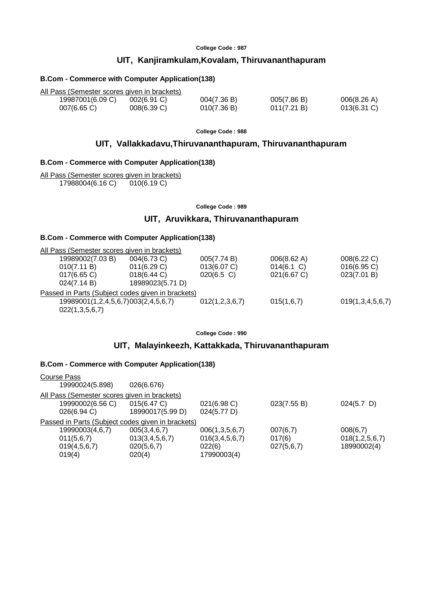# **UIT, Kanjiramkulam,Kovalam, Thiruvananthapuram**

### **B.Com - Commerce with Computer Application(138)**

| All Pass (Semester scores given in brackets) |                |             |             |                |
|----------------------------------------------|----------------|-------------|-------------|----------------|
| 19987001(6.09 C)                             | $002(6.91)$ C) | 004(7.36 B) | 005(7.86 B) | 006(8.26 A)    |
| $007(6.65)$ C)                               | 008(6.39 C)    | 010(7.36 B) | 011(7.21 B) | $013(6.31)$ C) |

**College Code : 988**

### **UIT, Vallakkadavu,Thiruvananthapuram, Thiruvananthapuram**

#### **B.Com - Commerce with Computer Application(138)**

All Pass (Semester scores given in brackets) 17988004(6.16 C) 010(6.19 C)

**College Code : 989**

# **UIT, Aruvikkara, Thiruvananthapuram**

### **B.Com - Commerce with Computer Application(138)**

| All Pass (Semester scores given in brackets)      |                       |                |                       |                  |
|---------------------------------------------------|-----------------------|----------------|-----------------------|------------------|
| 19989002(7.03 B)                                  | $004(6.73 \text{ C})$ | 005(7.74 B)    | $006(8.62 \text{ A})$ | 008(6.22 C)      |
| 010(7.11 B)                                       | 011(6.29 C)           | 013(6.07 C)    | $014(6.1)$ C)         | 016(6.95 C)      |
| $017(6.65)$ C)                                    | 018(6.44 C)           | $020(6.5)$ C)  | 021(6.67 C)           | 023(7.01 B)      |
| 024(7.14 B)                                       | 18989023(5.71 D)      |                |                       |                  |
| Passed in Parts (Subject codes given in brackets) |                       |                |                       |                  |
| 19989001(1,2,4,5,6,7)003(2,4,5,6,7)               |                       | 012(1,2,3,6,7) | 015(1,6,7)            | 019(1,3,4,5,6,7) |
| 022(1,3,5,6,7)                                    |                       |                |                       |                  |

**College Code : 990**

# **UIT, Malayinkeezh, Kattakkada, Thiruvananthapuram**

| <b>Course Pass</b>                                |                  |                    |             |                |
|---------------------------------------------------|------------------|--------------------|-------------|----------------|
| 19990024(5.898)                                   | 026(6.676)       |                    |             |                |
| All Pass (Semester scores given in brackets)      |                  |                    |             |                |
| 19990002(6.56 C)                                  | 015(6.47 C)      | 021(6.98 C)        | 023(7.55 B) | $024(5.7)$ D)  |
| 026(6.94)                                         | 18990017(5.99 D) | 024(5.77 D)        |             |                |
| Passed in Parts (Subject codes given in brackets) |                  |                    |             |                |
| 19990003(4,6,7)                                   | 005(3,4,6,7)     | 006(1,3,5,6,7)     | 007(6,7)    | 008(6,7)       |
| 011(5,6,7)                                        | 013(3,4,5,6,7)   | 016(3, 4, 5, 6, 7) | 017(6)      | 018(1,2,5,6,7) |
| 019(4,5,6,7)                                      | 020(5,6,7)       | 022(6)             | 027(5,6,7)  | 18990002(4)    |
| 019(4)                                            | 020(4)           | 17990003(4)        |             |                |